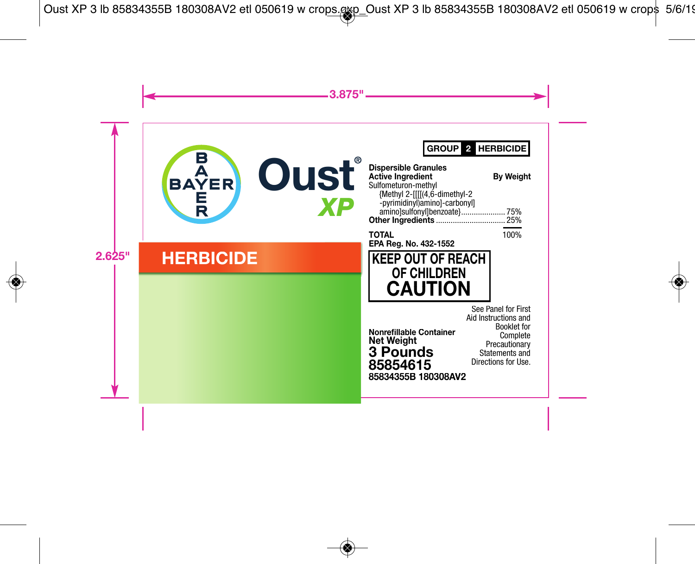GROUP<sup>2</sup> HERBICIDE

 **Weight**

.75% . 25% 100%



# **OF CHILDREN CAUTION**

**Nonr refillable Container efillable Net Weight 3 Pounds 85834355B 180308A AV2 85854615**

ĺ See Panel for First Aid Instructions and<br>Booklet for<br>Complete **Booklet** for Complete Precautionary Statements and Directions for Use.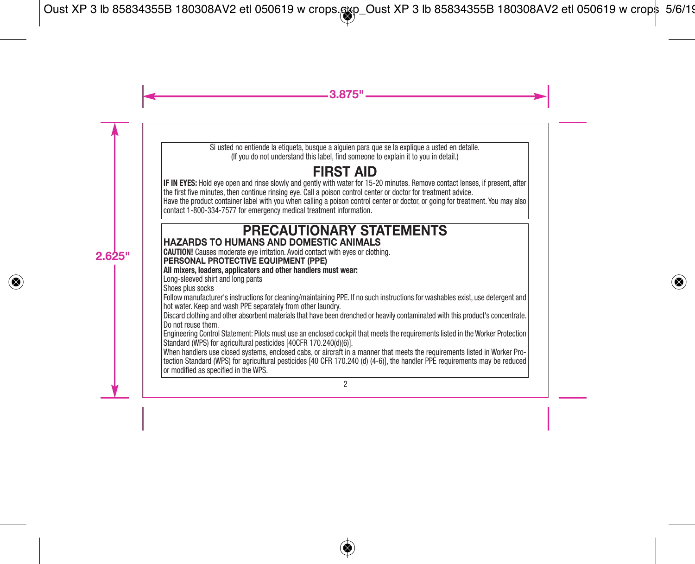Si usted no entiende la etiqueta, busque a alguien para que se la explique a usted en detalle. (If you do not understand this label, find someone to explain it to you in detail.)

# **FIRST AID**

**IF IN EYES:** Hold eye open and rinse slowly and gently with water for 15-20 minutes. Remove contact lenses, if present, after the first five minutes, then continue rinsing eye. Call a poison control center or doctor for treatment advice. Have the product container label with you when calling a poison control center or doctor, or going for treatment. You may also contact 1-800-334-7577 for emergency medical treatment information.

# **PRECAUTIONARY STATEMENTS HAZARDS TO HUMANS AND DOMESTIC ANIMALS**

**CAUTION!** Causes moderate eye irritation. Avoid contact with eyes or clothing.

# **PERSONAL PROTECTIVE EQUIPMENT (PPE)**

**All mixers, loaders, applicators and other handlers must wear:**

Long-sleeved shirt and long pants

Shoes plus socks

Follow manufacturer's instructions for cleaning/maintaining PPE. If no such instructions for washables exist, use detergent and hot water. Keep and wash PPE separately from other laundry.

Discard clothing and other absorbent materials that have been drenched or heavily contaminated with this product's concentrate. Do not reuse them.

Engineering Control Statement: Pilots must use an enclosed cockpit that meets the requirements listed in the Worker Protection Standard (WPS) for agricultural pesticides [40CFR 170.240(d)(6)].

When handlers use closed systems, enclosed cabs, or aircraft in a manner that meets the requirements listed in Worker Protection Standard (WPS) for agricultural pesticides [40 CFR 170.240 (d) (4-6)], the handler PPE requirements may be reduced or modified as specified in the WPS.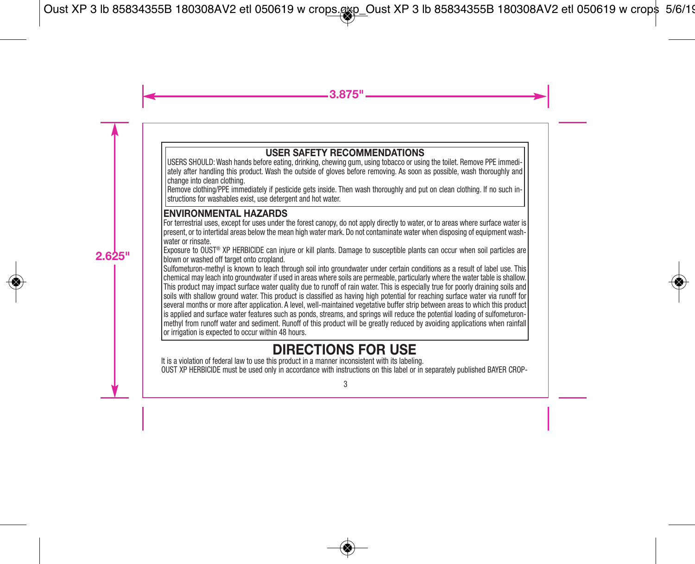# **USER SAFETY RECOMMENDATIONS**

USERS SHOULD: Wash hands before eating, drinking, chewing gum, using tobacco or using the toilet. Remove PPE immediately after handling this product. Wash the outside of gloves before removing. As soon as possible, wash thoroughly and change into clean clothing.

Remove clothing/PPE immediately if pesticide gets inside. Then wash thoroughly and put on clean clothing. If no such instructions for washables exist, use detergent and hot water.

# **ENVIRONMENTAL HAZARDS**

For terrestrial uses, except for uses under the forest canopy, do not apply directly to water, or to areas where surface water is present, or to intertidal areas below the mean high water mark. Do not contaminate water when disposing of equipment washwater or rinsate.

Exposure to OUST® XP HERBICIDE can injure or kill plants. Damage to susceptible plants can occur when soil particles are blown or washed off target onto cropland.

Sulfometuron-methyl is known to leach through soil into groundwater under certain conditions as a result of label use. This chemical may leach into groundwater if used in areas where soils are permeable, particularly where the water table is shallow. This product may impact surface water quality due to runoff of rain water. This is especially true for poorly draining soils and soils with shallow ground water. This product is classified as having high potential for reaching surface water via runoff for several months or more after application. A level, well-maintained vegetative buffer strip between areas to which this product is applied and surface water features such as ponds, streams, and springs will reduce the potential loading of sulfometuronmethyl from runoff water and sediment. Runoff of this product will be greatly reduced by avoiding applications when rainfall or irrigation is expected to occur within 48 hours.

# **DIRECTIONS FOR USE**

It is a violation of federal law to use this product in a manner inconsistent with its labeling. OUST XP HERBICIDE must be used only in accordance with instructions on this label or in separately published BAYER CROP-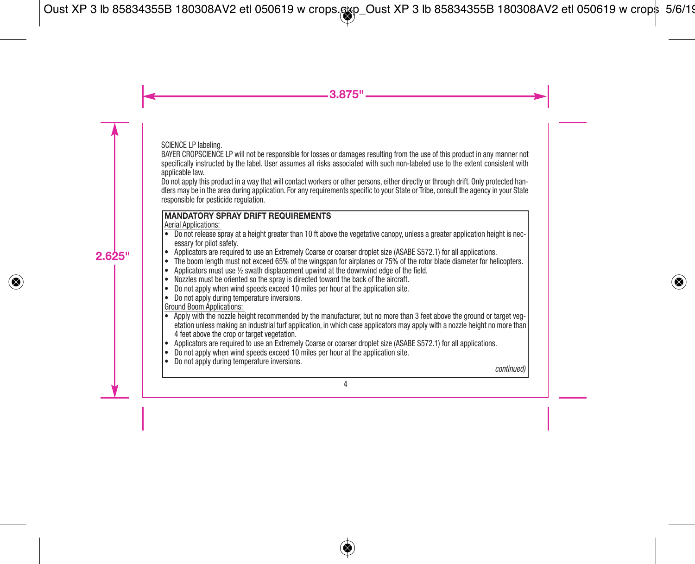SCIENCE LP labeling.

BAYER CROPSCIENCE LP will not be responsible for losses or damages resulting from the use of this product in any manner not specifically instructed by the label. User assumes all risks associated with such non-labeled use to the extent consistent with applicable law.

Do not apply this product in a way that will contact workers or other persons, either directly or through drift. Only protected handlers may be in the area during application. For any requirements specific to your State or Tribe, consult the agency in your State responsible for pesticide regulation.

# **MANDATORY SPRAY DRIFT REQUIREMENTS**

Aerial Applications:

- Do not release spray at a height greater than 10 ft above the vegetative canopy, unless a greater application height is necessary for pilot safety.
- Applicators are required to use an Extremely Coarse or coarser droplet size (ASABE S572.1) for all applications.
- The boom length must not exceed 65% of the wingspan for airplanes or 75% of the rotor blade diameter for helicopters.
- Applicators must use 1/2 swath displacement upwind at the downwind edge of the field.
- Nozzles must be oriented so the spray is directed toward the back of the aircraft.
- Do not apply when wind speeds exceed 10 miles per hour at the application site.
- Do not apply during temperature inversions.

Ground Boom Applications:

- Apply with the nozzle height recommended by the manufacturer, but no more than 3 feet above the ground or target vegetation unless making an industrial turf application, in which case applicators may apply with a nozzle height no more than 4 feet above the crop or target vegetation.
- Applicators are required to use an Extremely Coarse or coarser droplet size (ASABE S572.1) for all applications.
- Do not apply when wind speeds exceed 10 miles per hour at the application site.
- Do not apply during temperature inversions. *continued)*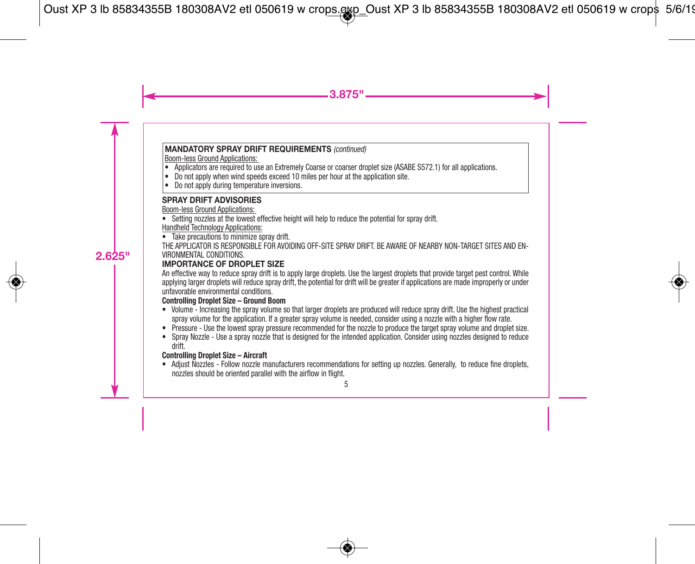# **MANDATORY SPRAY DRIFT REQUIREMENTS** *(continued)*

Boom-less Ground Applications:

- Applicators are required to use an Extremely Coarse or coarser droplet size (ASABE S572.1) for all applications.
- Do not apply when wind speeds exceed 10 miles per hour at the application site.
- Do not apply during temperature inversions.

# **SPRAY DRIFT ADVISORIES**

Boom-less Ground Applications:

• Setting nozzles at the lowest effective height will help to reduce the potential for spray drift.

### Handheld Technology Applications:

• Take precautions to minimize spray drift.

THE APPLICATOR IS RESPONSIBLE FOR AVOIDING OFF-SITE SPRAY DRIFT. BE AWARE OF NEARBY NON-TARGET SITES AND EN-VIRONMENTAL CONDITIONS.

# **IMPORTANCE OF DROPLET SIZE**

An effective way to reduce spray drift is to apply large droplets. Use the largest droplets that provide target pest control. While applying larger droplets will reduce spray drift, the potential for drift will be greater if applications are made improperly or under unfavorable environmental conditions.

# **Controlling Droplet Size – Ground Boom**

- Volume Increasing the spray volume so that larger droplets are produced will reduce spray drift. Use the highest practical spray volume for the application. If a greater spray volume is needed, consider using a nozzle with a higher flow rate.
- Pressure Use the lowest spray pressure recommended for the nozzle to produce the target spray volume and droplet size.
- Spray Nozzle Use a spray nozzle that is designed for the intended application. Consider using nozzles designed to reduce drift.

# **Controlling Droplet Size – Aircraft**

• Adjust Nozzles - Follow nozzle manufacturers recommendations for setting up nozzles. Generally, to reduce fine droplets, nozzles should be oriented parallel with the airflow in flight.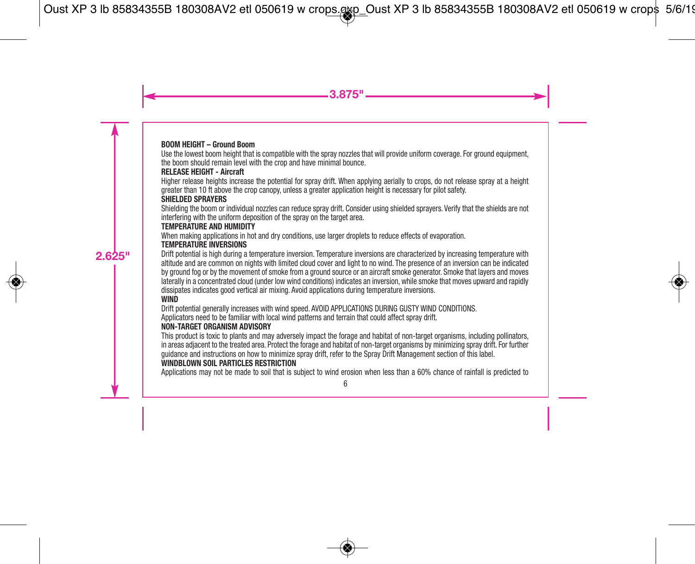#### **BOOM HEIGHT – Ground Boom**

Use the lowest boom height that is compatible with the spray nozzles that will provide uniform coverage. For ground equipment, the boom should remain level with the crop and have minimal bounce.

### **RELEASE HEIGHT - Aircraft**

Higher release heights increase the potential for spray drift. When applying aerially to crops, do not release spray at a height greater than 10 ft above the crop canopy, unless a greater application height is necessary for pilot safety.

# **SHIELDED SPRAYERS**

Shielding the boom or individual nozzles can reduce spray drift. Consider using shielded sprayers. Verify that the shields are not interfering with the uniform deposition of the spray on the target area.

#### **TEMPERATURE AND HUMIDITY**

When making applications in hot and dry conditions, use larger droplets to reduce effects of evaporation.

#### **TEMPERATURE INVERSIONS**

Drift potential is high during a temperature inversion. Temperature inversions are characterized by increasing temperature with altitude and are common on nights with limited cloud cover and light to no wind. The presence of an inversion can be indicated by ground fog or by the movement of smoke from a ground source or an aircraft smoke generator. Smoke that layers and moves laterally in a concentrated cloud (under low wind conditions) indicates an inversion, while smoke that moves upward and rapidly dissipates indicates good vertical air mixing. Avoid applications during temperature inversions.

#### **WIND**

Drift potential generally increases with wind speed. AVOID APPLICATIONS DURING GUSTY WIND CONDITIONS. Applicators need to be familiar with local wind patterns and terrain that could affect spray drift.

#### **NON-TARGET ORGANISM ADVISORY**

This product is toxic to plants and may adversely impact the forage and habitat of non-target organisms, including pollinators, in areas adjacent to the treated area. Protect the forage and habitat of non-target organisms by minimizing spray drift. For further guidance and instructions on how to minimize spray drift, refer to the Spray Drift Management section of this label. **WINDBLOWN SOIL PARTICLES RESTRICTION**

Applications may not be made to soil that is subject to wind erosion when less than a 60% chance of rainfall is predicted to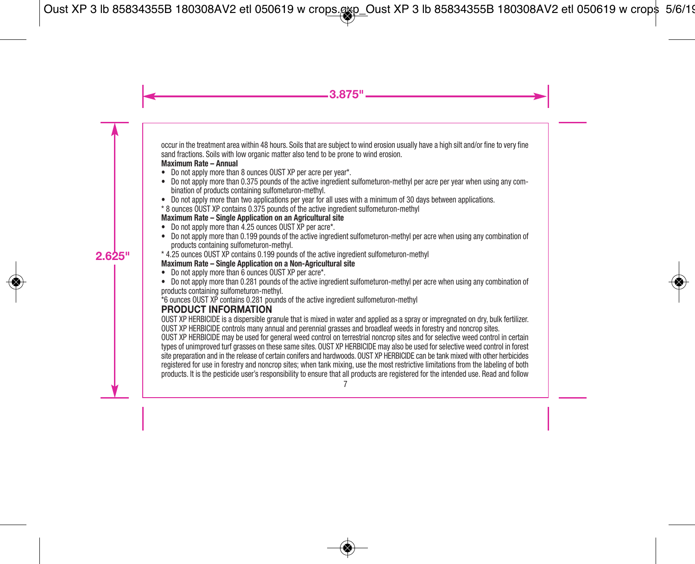occur in the treatment area within 48 hours. Soils that are subject to wind erosion usually have a high silt and/or fine to very fine sand fractions. Soils with low organic matter also tend to be prone to wind erosion.

#### **Maximum Rate – Annual**

- Do not apply more than 8 ounces OUST XP per acre per year\*.
- Do not apply more than 0.375 pounds of the active ingredient sulfometuron-methyl per acre per year when using any combination of products containing sulfometuron-methyl.
- Do not apply more than two applications per year for all uses with a minimum of 30 days between applications.
- \* 8 ounces OUST XP contains 0.375 pounds of the active ingredient sulfometuron-methyl

# **Maximum Rate – Single Application on an Agricultural site**

- Do not apply more than 4.25 ounces OUST XP per acre\*.
- Do not apply more than 0.199 pounds of the active ingredient sulfometuron-methyl per acre when using any combination of products containing sulfometuron-methyl.
- \* 4.25 ounces OUST XP contains 0.199 pounds of the active ingredient sulfometuron-methyl

# **Maximum Rate – Single Application on a Non-Agricultural site**

- Do not apply more than 6 ounces OUST XP per acre\*.
- Do not apply more than 0.281 pounds of the active ingredient sulfometuron-methyl per acre when using any combination of products containing sulfometuron-methyl.

\*6 ounces OUST XP contains 0.281 pounds of the active ingredient sulfometuron-methyl

# **PRODUCT INFORMATION**

OUST XP HERBICIDE is a dispersible granule that is mixed in water and applied as a spray or impregnated on dry, bulk fertilizer. OUST XP HERBICIDE controls many annual and perennial grasses and broadleaf weeds in forestry and noncrop sites.

OUST XP HERBICIDE may be used for general weed control on terrestrial noncrop sites and for selective weed control in certain types of unimproved turf grasses on these same sites. OUST XP HERBICIDE may also be used for selective weed control in forest site preparation and in the release of certain conifers and hardwoods. OUST XP HERBICIDE can be tank mixed with other herbicides registered for use in forestry and noncrop sites; when tank mixing, use the most restrictive limitations from the labeling of both products. It is the pesticide user's responsibility to ensure that all products are registered for the intended use. Read and follow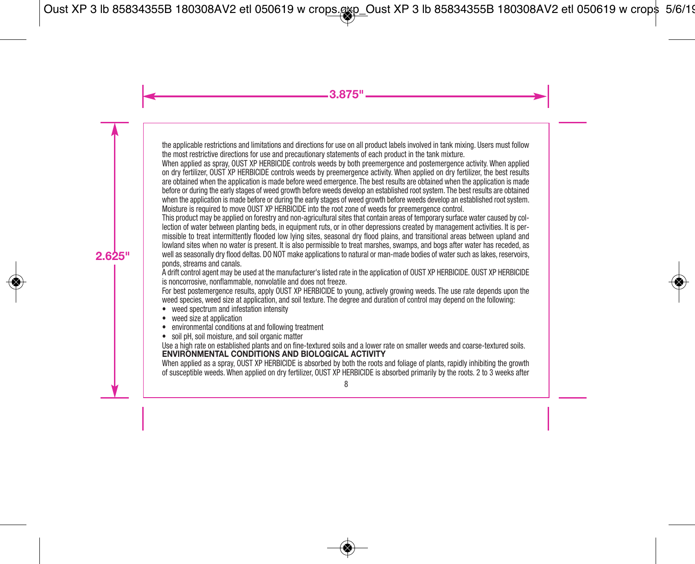the applicable restrictions and limitations and directions for use on all product labels involved in tank mixing. Users must follow the most restrictive directions for use and precautionary statements of each product in the tank mixture.

When applied as spray, OUST XP HERBICIDE controls weeds by both preemergence and postemergence activity. When applied on dry fertilizer, OUST XP HERBICIDE controls weeds by preemergence activity. When applied on dry fertilizer, the best results are obtained when the application is made before weed emergence. The best results are obtained when the application is made before or during the early stages of weed growth before weeds develop an established root system. The best results are obtained when the application is made before or during the early stages of weed growth before weeds develop an established root system. Moisture is required to move OUST XP HERBICIDE into the root zone of weeds for preemergence control.

This product may be applied on forestry and non-agricultural sites that contain areas of temporary surface water caused by collection of water between planting beds, in equipment ruts, or in other depressions created by management activities. It is permissible to treat intermittently flooded low lying sites, seasonal dry flood plains, and transitional areas between upland and lowland sites when no water is present. It is also permissible to treat marshes, swamps, and bogs after water has receded, as well as seasonally dry flood deltas. DO NOT make applications to natural or man-made bodies of water such as lakes, reservoirs, ponds, streams and canals.

A drift control agent may be used at the manufacturer's listed rate in the application of OUST XP HERBICIDE. OUST XP HERBICIDE is noncorrosive, nonflammable, nonvolatile and does not freeze.

For best postemergence results, apply OUST XP HERBICIDE to young, actively growing weeds. The use rate depends upon the weed species, weed size at application, and soil texture. The degree and duration of control may depend on the following:

- weed spectrum and infestation intensity<br>• weed size at annication
- weed size at application
- environmental conditions at and following treatment
- soil pH, soil moisture, and soil organic matter

Use a high rate on established plants and on fine-textured soils and a lower rate on smaller weeds and coarse-textured soils. **ENVIRONMENTAL CONDITIONS AND BIOLOGICAL ACTIVITY**

When applied as a spray, OUST XP HERBICIDE is absorbed by both the roots and foliage of plants, rapidly inhibiting the growth of susceptible weeds. When applied on dry fertilizer, OUST XP HERBICIDE is absorbed primarily by the roots. 2 to 3 weeks after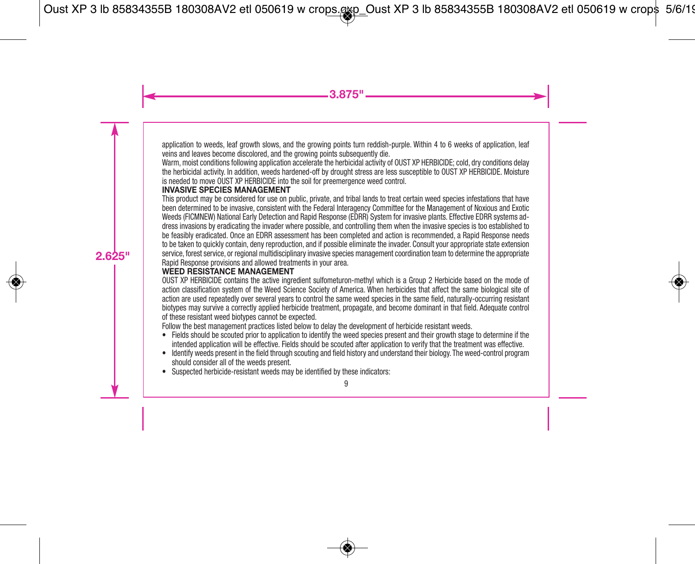application to weeds, leaf growth slows, and the growing points turn reddish-purple. Within 4 to 6 weeks of application, leaf veins and leaves become discolored, and the growing points subsequently die.

Warm, moist conditions following application accelerate the herbicidal activity of OUST XP HERBICIDE; cold, dry conditions delay the herbicidal activity. In addition, weeds hardened-off by drought stress are less susceptible to OUST XP HERBICIDE. Moisture is needed to move OUST XP HERBICIDE into the soil for preemergence weed control.

#### **INVASIVE SPECIES MANAGEMENT**

This product may be considered for use on public, private, and tribal lands to treat certain weed species infestations that have been determined to be invasive, consistent with the Federal Interagency Committee for the Management of Noxious and Exotic Weeds (FICMNEW) National Early Detection and Rapid Response (EDRR) System for invasive plants. Effective EDRR systems address invasions by eradicating the invader where possible, and controlling them when the invasive species is too established to be feasibly eradicated. Once an EDRR assessment has been completed and action is recommended, a Rapid Response needs to be taken to quickly contain, deny reproduction, and if possible eliminate the invader. Consult your appropriate state extension service, forest service, or regional multidisciplinary invasive species management coordination team to determine the appropriate Rapid Response provisions and allowed treatments in your area.

#### **WEED RESISTANCE MANAGEMENT**

OUST XP HERBICIDE contains the active ingredient sulfometuron-methyl which is a Group 2 Herbicide based on the mode of action classification system of the Weed Science Society of America. When herbicides that affect the same biological site of action are used repeatedly over several years to control the same weed species in the same field, naturally-occurring resistant biotypes may survive a correctly applied herbicide treatment, propagate, and become dominant in that field. Adequate control of these resistant weed biotypes cannot be expected.

Follow the best management practices listed below to delay the development of herbicide resistant weeds.

- Fields should be scouted prior to application to identify the weed species present and their growth stage to determine if the intended application will be effective. Fields should be scouted after application to verify that the treatment was effective.
- Identify weeds present in the field through scouting and field history and understand their biology. The weed-control program should consider all of the weeds present.
- Suspected herbicide-resistant weeds may be identified by these indicators: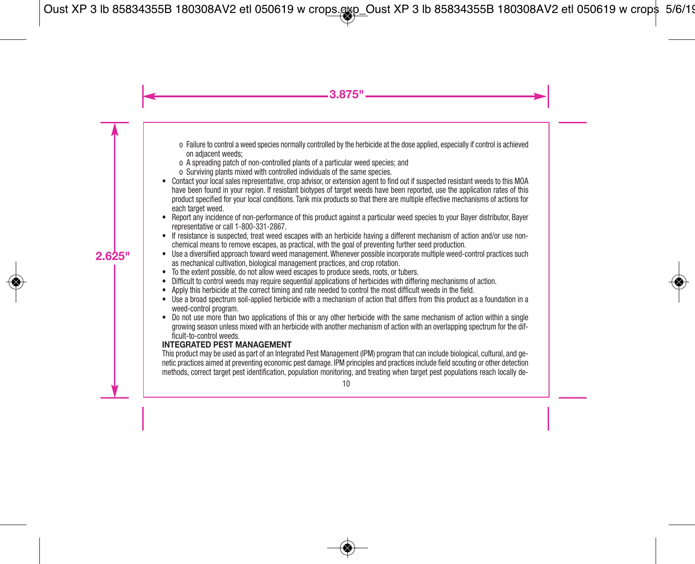- o Failure to control a weed species normally controlled by the herbicide at the dose applied, especially if control is achieved on adjacent weeds;
- o A spreading patch of non-controlled plants of a particular weed species; and
- o Surviving plants mixed with controlled individuals of the same species.
- Contact your local sales representative, crop advisor, or extension agent to find out if suspected resistant weeds to this MOA have been found in your region. If resistant biotypes of target weeds have been reported, use the application rates of this product specified for your local conditions. Tank mix products so that there are multiple effective mechanisms of actions for each target weed.
- Report any incidence of non-performance of this product against a particular weed species to your Bayer distributor, Bayer representative or call 1-800-331-2867.
- If resistance is suspected, treat weed escapes with an herbicide having a different mechanism of action and/or use nonchemical means to remove escapes, as practical, with the goal of preventing further seed production.
- Use a diversified approach toward weed management.Whenever possible incorporate multiple weed-control practices such as mechanical cultivation, biological management practices, and crop rotation.
- To the extent possible, do not allow weed escapes to produce seeds, roots, or tubers.
- Difficult to control weeds may require sequential applications of herbicides with differing mechanisms of action.
- Apply this herbicide at the correct timing and rate needed to control the most difficult weeds in the field.
- Use a broad spectrum soil-applied herbicide with a mechanism of action that differs from this product as a foundation in a weed-control program.
- Do not use more than two applications of this or any other herbicide with the same mechanism of action within a single growing season unless mixed with an herbicide with another mechanism of action with an overlapping spectrum for the difficult-to-control weeds.

# **INTEGRATED PEST MANAGEMENT**

This product may be used as part of an Integrated Pest Management (IPM) program that can include biological, cultural, and genetic practices aimed at preventing economic pest damage. IPM principles and practices include field scouting or other detection methods, correct target pest identification, population monitoring, and treating when target pest populations reach locally de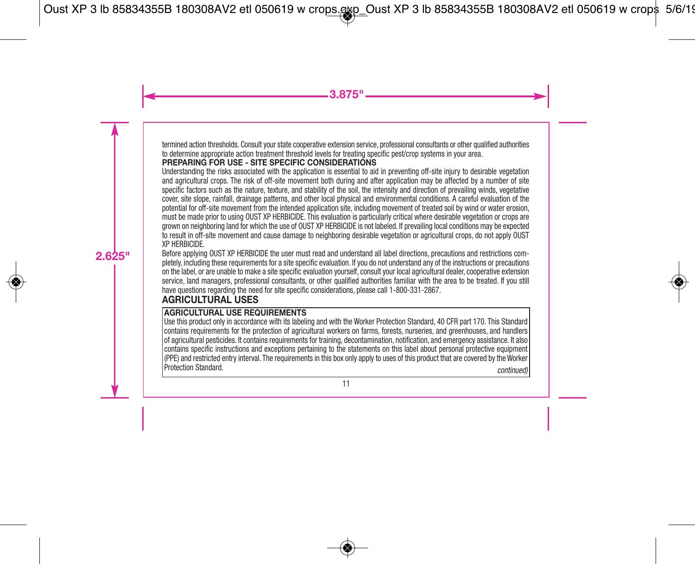termined action thresholds. Consult your state cooperative extension service, professional consultants or other qualified authorities to determine appropriate action treatment threshold levels for treating specific pest/crop systems in your area.

# **PREPARING FOR USE - SITE SPECIFIC CONSIDERATIONS**

Understanding the risks associated with the application is essential to aid in preventing off-site injury to desirable vegetation and agricultural crops. The risk of off-site movement both during and after application may be affected by a number of site specific factors such as the nature, texture, and stability of the soil, the intensity and direction of prevailing winds, vegetative cover, site slope, rainfall, drainage patterns, and other local physical and environmental conditions. A careful evaluation of the potential for off-site movement from the intended application site, including movement of treated soil by wind or water erosion, must be made prior to using OUST XP HERBICIDE. This evaluation is particularly critical where desirable vegetation or crops are grown on neighboring land for which the use of OUST XP HERBICIDE is not labeled. If prevailing local conditions may be expected to result in off-site movement and cause damage to neighboring desirable vegetation or agricultural crops, do not apply OUST XP HERBICIDE.

Before applying OUST XP HERBICIDE the user must read and understand all label directions, precautions and restrictions completely, including these requirements for a site specific evaluation. If you do not understand any of the instructions or precautions on the label, or are unable to make a site specific evaluation yourself, consult your local agricultural dealer, cooperative extension service, land managers, professional consultants, or other qualified authorities familiar with the area to be treated. If you still have questions regarding the need for site specific considerations, please call 1-800-331-2867.

# **AGRICULTURAL USES**

# **AGRICULTURAL USE REQUIREMENTS**

Use this product only in accordance with its labeling and with the Worker Protection Standard, 40 CFR part 170. This Standard contains requirements for the protection of agricultural workers on farms, forests, nurseries, and greenhouses, and handlers of agricultural pesticides. It contains requirements for training, decontamination, notification, and emergency assistance. It also contains specific instructions and exceptions pertaining to the statements on this label about personal protective equipment (PPE) and restricted entry interval. The requirements in this box only apply to uses of this product that are covered by the Worker.<br>Protection Standard Protection Standard. *continued)*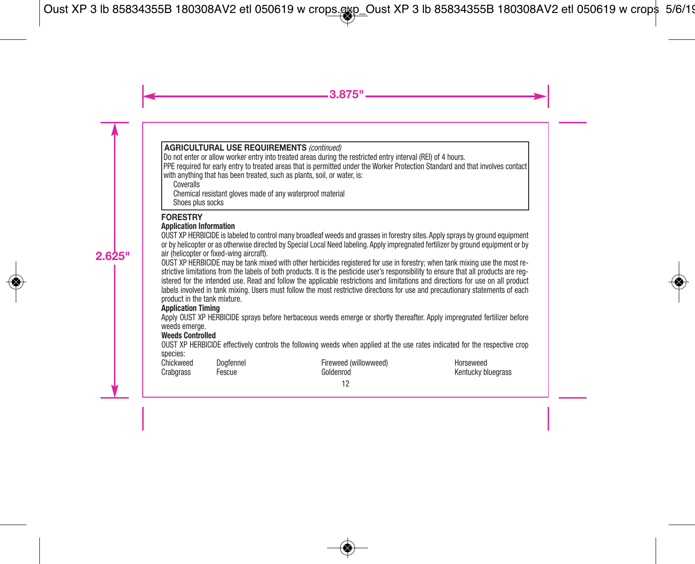# **AGRICULTURAL USE REQUIREMENTS** *(continued)*

Do not enter or allow worker entry into treated areas during the restricted entry interval (REI) of 4 hours.

PPE required for early entry to treated areas that is permitted under the Worker Protection Standard and that involves contact

with anything that has been treated, such as plants, soil, or water, is:

**Coveralls** 

Chemical resistant gloves made of any waterproof material

Shoes plus socks

# **FORESTRY**

#### **Application Information**

OUST XP HERBICIDE is labeled to control many broadleaf weeds and grasses in forestry sites. Apply sprays by ground equipment or by helicopter or as otherwise directed by Special Local Need labeling. Apply impregnated fertilizer by ground equipment or by air (helicopter or fixed-wing aircraft).

OUST XP HERBICIDE may be tank mixed with other herbicides registered for use in forestry; when tank mixing use the most restrictive limitations from the labels of both products. It is the pesticide user's responsibility to ensure that all products are registered for the intended use. Read and follow the applicable restrictions and limitations and directions for use on all product labels involved in tank mixing. Users must follow the most restrictive directions for use and precautionary statements of each product in the tank mixture.

# **Application Timing**

Apply OUST XP HERBICIDE sprays before herbaceous weeds emerge or shortly thereafter. Apply impregnated fertilizer before weeds emerge.

#### **Weeds Controlled**

OUST XP HERBICIDE effectively controls the following weeds when applied at the use rates indicated for the respective crop species: ed)

| Chickweed | Dogfennel | Fireweed (willowwe |
|-----------|-----------|--------------------|
| Craborass | Fescue    | Goldenrod          |

Horseweed Kentucky bluegrass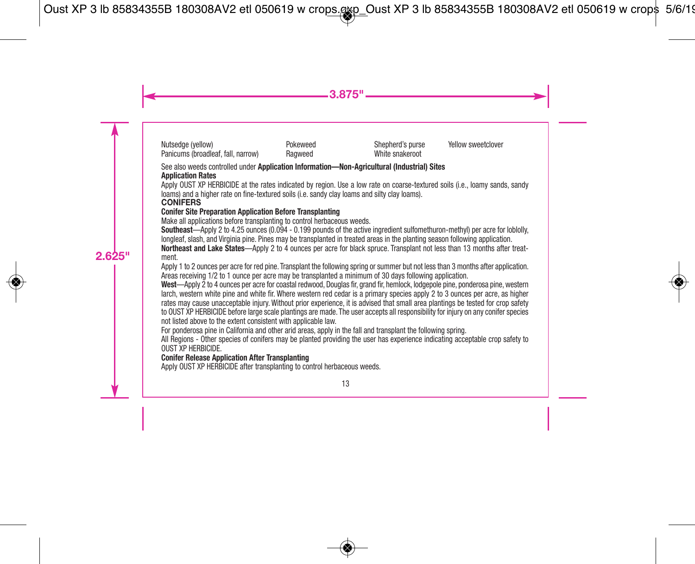Nutsedge (yellow) Panicums (broadleaf, fall, narrow) **Pokeweed** Ragweed

Shepherd's purse White snakeroot

Vellow sweetclover

#### See also weeds controlled under **Application Information—Non-Agricultural (Industrial) Sites Application Rates**

Apply OUST XP HERBICIDE at the rates indicated by region. Use a low rate on coarse-textured soils (i.e., loamy sands, sandy loams) and a higher rate on fine-textured soils (i.e. sandy clay loams and silty clay loams).

#### **CONIFERS**

#### **Conifer Site Preparation Application Before Transplanting**

Make all applications before transplanting to control herbaceous weeds.

**Southeast**—Apply 2 to 4.25 ounces (0.094 - 0.199 pounds of the active ingredient sulfomethuron-methyl) per acre for loblolly, longleaf, slash, and Virginia pine. Pines may be transplanted in treated areas in the planting season following application.

**Northeast and Lake States**—Apply 2 to 4 ounces per acre for black spruce. Transplant not less than 13 months after treatment.

Apply 1 to 2 ounces per acre for red pine. Transplant the following spring or summer but not less than 3 months after application. Areas receiving 1/2 to 1 ounce per acre may be transplanted a minimum of 30 days following application.

**West**—Apply 2 to 4 ounces per acre for coastal redwood, Douglas fir, grand fir, hemlock, lodgepole pine, ponderosa pine,western larch, western white pine and white fir. Where western red cedar is a primary species apply 2 to 3 ounces per acre, as higher rates may cause unacceptable injury. Without prior experience, it is advised that small area plantings be tested for crop safety to OUST XP HERBICIDE before large scale plantings are made. The user accepts all responsibility for injury on any conifer species not listed above to the extent consistent with applicable law.

For ponderosa pine in California and other arid areas, apply in the fall and transplant the following spring.

All Regions - Other species of conifers may be planted providing the user has experience indicating acceptable crop safety to OUST XP HERBICIDE.

#### **Conifer Release Application After Transplanting**

Apply OUST XP HERBICIDE after transplanting to control herbaceous weeds.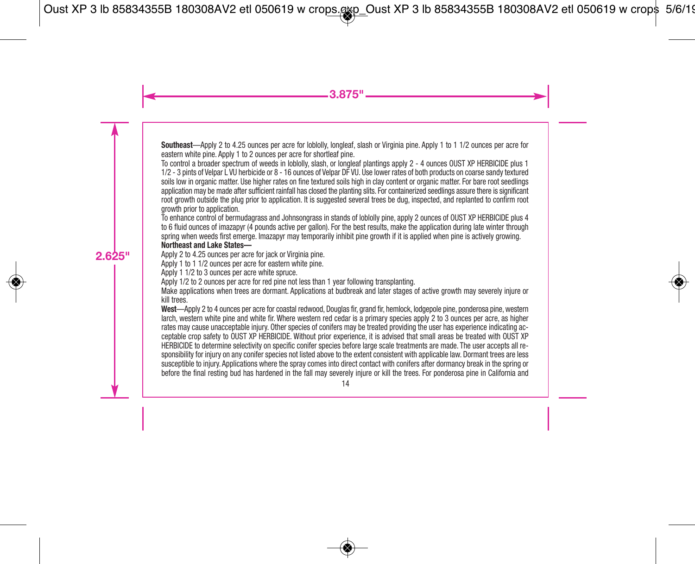**Southeast**—Apply 2 to 4.25 ounces per acre for loblolly, longleaf, slash or Virginia pine. Apply 1 to 1 1/2 ounces per acre for eastern white pine. Apply 1 to 2 ounces per acre for shortleaf pine.

To control a broader spectrum of weeds in loblolly, slash, or longleaf plantings apply 2 - 4 ounces OUST XP HERBICIDE plus 1 1/2 - 3 pints of Velpar L VU herbicide or 8 - 16 ounces of Velpar DF VU. Use lower rates of both products on coarse sandy textured soils low in organic matter. Use higher rates on fine textured soils high in clay content or organic matter. For bare root seedlings application may be made after sufficient rainfall has closed the planting slits. For containerized seedlings assure there is significant root growth outside the plug prior to application. It is suggested several trees be dug, inspected, and replanted to confirm root growth prior to application.

To enhance control of bermudagrass and Johnsongrass in stands of loblolly pine, apply 2 ounces of OUST XP HERBICIDE plus 4 to 6 fluid ounces of imazapyr (4 pounds active per gallon). For the best results, make the application during late winter through spring when weeds first emerge. Imazapyr may temporarily inhibit pine growth if it is applied when pine is actively growing. **Northeast and Lake States—**

Apply 2 to 4.25 ounces per acre for jack or Virginia pine.

Apply 1 to 1 1/2 ounces per acre for eastern white pine.

Apply 1 1/2 to 3 ounces per acre white spruce.

Apply 1/2 to 2 ounces per acre for red pine not less than 1 year following transplanting.

Make applications when trees are dormant. Applications at budbreak and later stages of active growth may severely injure or kill trees.

West—Apply 2 to 4 ounces per acre for coastal redwood, Douglas fir, grand fir, hemlock, lodgepole pine, ponderosa pine, western larch, western white pine and white fir. Where western red cedar is a primary species apply 2 to 3 ounces per acre, as higher rates may cause unacceptable injury. Other species of conifers may be treated providing the user has experience indicating acceptable crop safety to OUST XP HERBICIDE. Without prior experience, it is advised that small areas be treated with OUST XP HERBICIDE to determine selectivity on specific conifer species before large scale treatments are made. The user accepts all responsibility for injury on any conifer species not listed above to the extent consistent with applicable law. Dormant trees are less susceptible to injury. Applications where the spray comes into direct contact with conifers after dormancy break in the spring or before the final resting bud has hardened in the fall may severely injure or kill the trees. For ponderosa pine in California and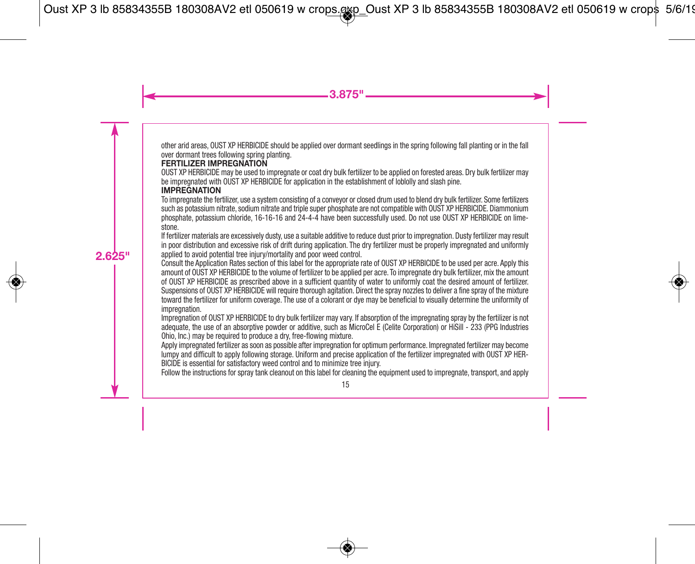other arid areas, OUST XP HERBICIDE should be applied over dormant seedlings in the spring following fall planting or in the fall over dormant trees following spring planting.

# **FERTILIZER IMPREGNATION**

OUST XP HERBICIDE may be used to impregnate or coat dry bulk fertilizer to be applied on forested areas. Dry bulk fertilizer may be impregnated with OUST XP HERBICIDE for application in the establishment of loblolly and slash pine.

#### **IMPREGNATION**

To impregnate the fertilizer, use a system consisting of a conveyor or closed drum used to blend dry bulk fertilizer. Some fertilizers such as potassium nitrate, sodium nitrate and triple super phosphate are not compatible with OUST XP HERBICIDE. Diammonium phosphate, potassium chloride, 16-16-16 and 24-4-4 have been successfully used. Do not use OUST XP HERBICIDE on limestone.

If fertilizer materials are excessively dusty, use a suitable additive to reduce dust prior to impregnation. Dusty fertilizer may result in poor distribution and excessive risk of drift during application. The dry fertilizer must be properly impregnated and uniformly applied to avoid potential tree injury/mortality and poor weed control.

Consult the Application Rates section of this label for the appropriate rate of OUST XP HERBICIDE to be used per acre. Apply this amount of OUST XP HERBICIDE to the volume of fertilizer to be applied per acre. To impregnate dry bulk fertilizer, mix the amount of OUST XP HERBICIDE as prescribed above in a sufficient quantity of water to uniformly coat the desired amount of fertilizer. Suspensions of OUST XP HERBICIDE will require thorough agitation. Direct the spray nozzles to deliver a fine spray of the mixture toward the fertilizer for uniform coverage. The use of a colorant or dye may be beneficial to visually determine the uniformity of impregnation.

Impregnation of OUST XP HERBICIDE to dry bulk fertilizer may vary. If absorption of the impregnating spray by the fertilizer is not adequate, the use of an absorptive powder or additive, such as MicroCel E (Celite Corporation) or HiSill - 233 (PPG Industries Ohio, Inc.) may be required to produce a dry, free-flowing mixture.

Apply impregnated fertilizer as soon as possible after impregnation for optimum performance. Impregnated fertilizer may become lumpy and difficult to apply following storage. Uniform and precise application of the fertilizer impregnated with OUST XP HER-BICIDE is essential for satisfactory weed control and to minimize tree injury.

Follow the instructions for spray tank cleanout on this label for cleaning the equipment used to impregnate, transport, and apply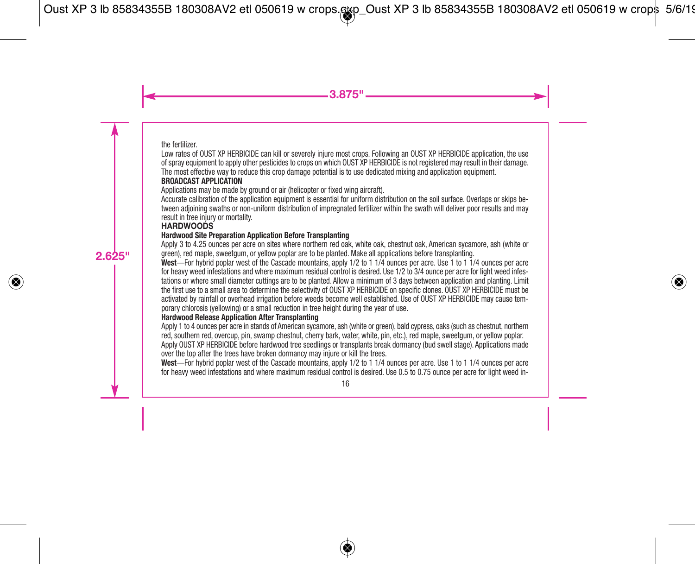the fertilizer.

Low rates of OUST XP HERBICIDE can kill or severely injure most crops. Following an OUST XP HERBICIDE application, the use of spray equipment to apply other pesticides to crops on which OUST XP HERBICIDE is not registered may result in their damage. The most effective way to reduce this crop damage potential is to use dedicated mixing and application equipment.

#### **BROADCAST APPLICATION**

Applications may be made by ground or air (helicopter or fixed wing aircraft).

Accurate calibration of the application equipment is essential for uniform distribution on the soil surface. Overlaps or skips between adjoining swaths or non-uniform distribution of impregnated fertilizer within the swath will deliver poor results and may result in tree injury or mortality.

#### **HARDWOODS**

#### **Hardwood Site Preparation Application Before Transplanting**

Apply 3 to 4.25 ounces per acre on sites where northern red oak, white oak, chestnut oak, American sycamore, ash (white or green), red maple, sweetgum, or yellow poplar are to be planted. Make all applications before transplanting.

**West**—For hybrid poplar west of the Cascade mountains, apply 1/2 to 1 1/4 ounces per acre. Use 1 to 1 1/4 ounces per acre for heavy weed infestations and where maximum residual control is desired. Use 1/2 to 3/4 ounce per acre for light weed infestations or where small diameter cuttings are to be planted. Allow a minimum of 3 days between application and planting. Limit the first use to a small area to determine the selectivity of OUST XP HERBICIDE on specific clones. OUST XP HERBICIDE must be activated by rainfall or overhead irrigation before weeds become well established. Use of OUST XP HERBICIDE may cause temporary chlorosis (yellowing) or a small reduction in tree height during the year of use.

#### **Hardwood Release Application After Transplanting**

Apply 1 to 4 ounces per acre in stands of American sycamore, ash (white or green), bald cypress, oaks (such as chestnut, northern red, southern red, overcup, pin, swamp chestnut, cherry bark, water, white, pin, etc.), red maple, sweetgum, or yellow poplar. Apply OUST XP HERBICIDE before hardwood tree seedlings or transplants break dormancy (bud swell stage). Applications made over the top after the trees have broken dormancy may injure or kill the trees.

**West**—For hybrid poplar west of the Cascade mountains, apply 1/2 to 1 1/4 ounces per acre. Use 1 to 1 1/4 ounces per acre for heavy weed infestations and where maximum residual control is desired. Use 0.5 to 0.75 ounce per acre for light weed in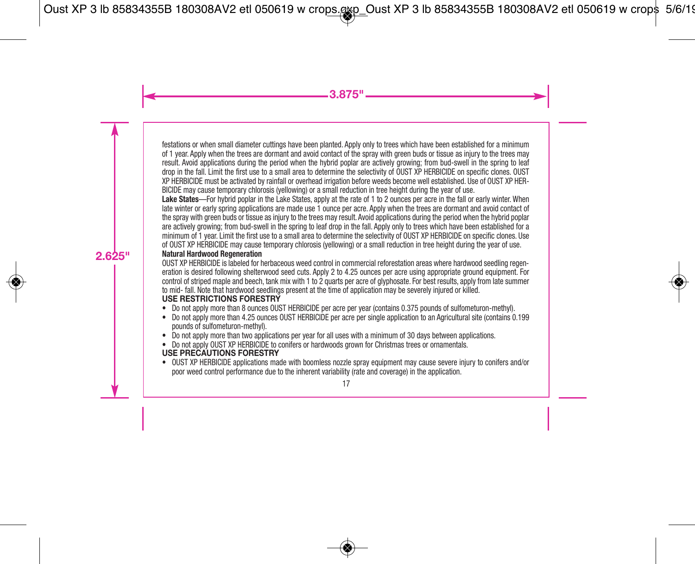festations or when small diameter cuttings have been planted. Apply only to trees which have been established for a minimum of 1 year. Apply when the trees are dormant and avoid contact of the spray with green buds or tissue as injury to the trees may result. Avoid applications during the period when the hybrid poplar are actively growing; from bud-swell in the spring to leaf drop in the fall. Limit the first use to a small area to determine the selectivity of OUST XP HERBICIDE on specific clones. OUST XP HERBICIDE must be activated by rainfall or overhead irrigation before weeds become well established. Use of OUST XP HER-BICIDE may cause temporary chlorosis (yellowing) or a small reduction in tree height during the year of use.

Lake States—For hybrid poplar in the Lake States, apply at the rate of 1 to 2 ounces per acre in the fall or early winter. When late winter or early spring applications are made use 1 ounce per acre. Apply when the trees are dormant and avoid contact of the spray with green buds or tissue as injury to the trees may result. Avoid applications during the period when the hybrid poplar are actively growing; from bud-swell in the spring to leaf drop in the fall. Apply only to trees which have been established for a minimum of 1 year. Limit the first use to a small area to determine the selectivity of OUST XP HERBICIDE on specific clones. Use of OUST XP HERBICIDE may cause temporary chlorosis (yellowing) or a small reduction in tree height during the year of use.

# **Natural Hardwood Regeneration**

OUST XP HERBICIDE is labeled for herbaceous weed control in commercial reforestation areas where hardwood seedling regeneration is desired following shelterwood seed cuts. Apply 2 to 4.25 ounces per acre using appropriate ground equipment. For control of striped maple and beech, tank mix with 1 to 2 quarts per acre of glyphosate. For best results, apply from late summer to mid- fall. Note that hardwood seedlings present at the time of application may be severely injured or killed. **USE RESTRICTIONS FORESTRY**

- Do not apply more than 8 ounces OUST HERBICIDE per acre per year (contains 0.375 pounds of sulfometuron-methyl).
- Do not apply more than 4.25 ounces OUST HERBICIDE per acre per single application to an Agricultural site (contains 0.199 pounds of sulfometuron-methyl).
- Do not apply more than two applications per year for all uses with a minimum of 30 days between applications.<br>• Do not apply OUST XP HERBICIDE to conifers or bardwoods grown for Christmas trees or orgamentals
- Do not apply OUST XP HERBICIDE to conifers or hardwoods grown for Christmas trees or ornamentals. **USE PRECAUTIONS FORESTRY**
- OUST XP HERBICIDE applications made with boomless nozzle spray equipment may cause severe injury to conifers and/or poor weed control performance due to the inherent variability (rate and coverage) in the application.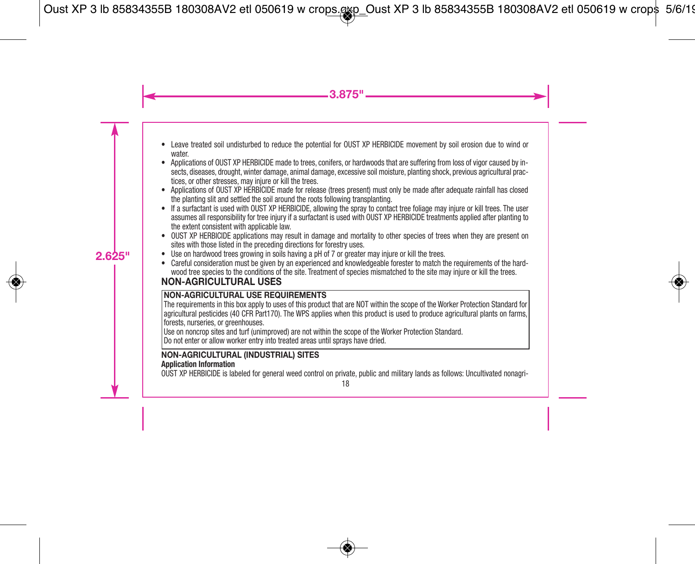- Leave treated soil undisturbed to reduce the potential for OUST XP HERBICIDE movement by soil erosion due to wind or water.
- Applications of OUST XP HERBICIDE made to trees, conifers, or hardwoods that are suffering from loss of vigor caused by insects, diseases, drought, winter damage, animal damage, excessive soil moisture, planting shock, previous agricultural practices, or other stresses, may injure or kill the trees.
- Applications of OUST XP HERBICIDE made for release (trees present) must only be made after adequate rainfall has closed the planting slit and settled the soil around the roots following transplanting.
- If a surfactant is used with OUST XP HERBICIDE, allowing the spray to contact tree foliage may injure or kill trees. The user assumes all responsibility for tree injury if a surfactant is used with OUST XP HERBICIDE treatments applied after planting to the extent consistent with applicable law.
- OUST XP HERBICIDE applications may result in damage and mortality to other species of trees when they are present on sites with those listed in the preceding directions for forestry uses.
- Use on hardwood trees growing in soils having a pH of 7 or greater may injure or kill the trees.
- Careful consideration must be given by an experienced and knowledgeable forester to match the requirements of the hardwood tree species to the conditions of the site. Treatment of species mismatched to the site may injure or kill the trees.

# **NON-AGRICULTURAL USES**

# **NON-AGRICULTURAL USE REQUIREMENTS**

The requirements in this box apply to uses of this product that are NOT within the scope of the Worker Protection Standard for agricultural pesticides (40 CFR Part170). The WPS applies when this product is used to produce agricultural plants on farms, forests, nurseries, or greenhouses.

Use on noncrop sites and turf (unimproved) are not within the scope of the Worker Protection Standard.

Do not enter or allow worker entry into treated areas until sprays have dried.

#### **NON-AGRICULTURAL (INDUSTRIAL) SITES Application Information**

OUST XP HERBICIDE is labeled for general weed control on private, public and military lands as follows: Uncultivated nonagri-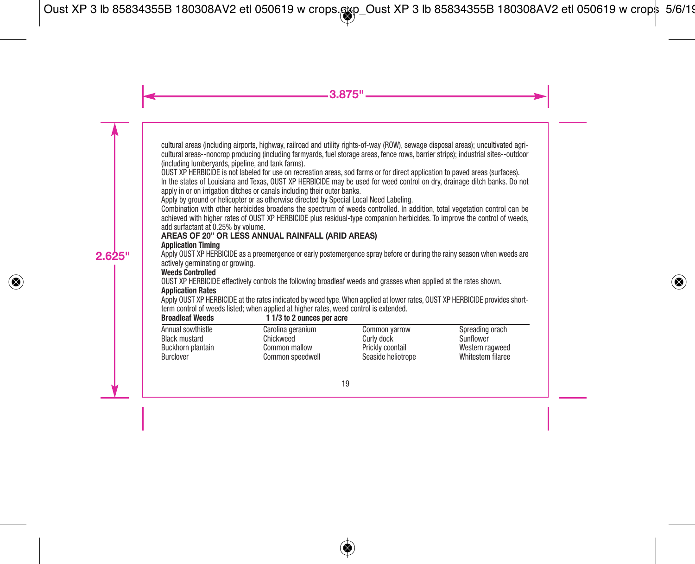cultural areas (including airports, highway, railroad and utility rights-of-way (ROW), sewage disposal areas); uncultivated agricultural areas--noncrop producing (including farmyards, fuel storage areas, fence rows, barrier strips); industrial sites--outdoor (including lumberyards, pipeline, and tank farms).

OUST XP HERBICIDE is not labeled for use on recreation areas, sod farms or for direct application to paved areas (surfaces). In the states of Louisiana and Texas, OUST XP HERBICIDE may be used for weed control on dry, drainage ditch banks. Do not apply in or on irrigation ditches or canals including their outer banks.

Apply by ground or helicopter or as otherwise directed by Special Local Need Labeling.

Combination with other herbicides broadens the spectrum of weeds controlled. In addition, total vegetation control can be achieved with higher rates of OUST XP HERBICIDE plus residual-type companion herbicides. To improve the control of weeds, add surfactant at 0.25% by volume.

# **AREAS OF 20" OR LESS ANNUAL RAINFALL (ARID AREAS)**

#### **Application Timing**

Apply OUST XP HERBICIDE as a preemergence or early postemergence spray before or during the rainy season when weeds are actively germinating or growing.

#### **Weeds Controlled**

OUST XP HERBICIDE effectively controls the following broadleaf weeds and grasses when applied at the rates shown.

#### **Application Rates**

Apply OUST XP HERBICIDE at the rates indicated by weed type.When applied at lower rates, OUST XP HERBICIDE provides shortterm control of weeds listed; when applied at higher rates, weed control is extended.

| <b>Broadleaf Weeds</b> | 1 1/3 to 2 ounces per acre |                    |                   |
|------------------------|----------------------------|--------------------|-------------------|
| Annual sowthistle      | Carolina geranium          | Common varrow      | Spreading orach   |
| <b>Black mustard</b>   | Chickweed                  | Curly dock         | Sunflower         |
| Buckhorn plantain      | Common mallow              | Prickly coontail   | Western ragweed   |
| Burclover              | Common speedwell           | Seaside heliotrope | Whitestem filaree |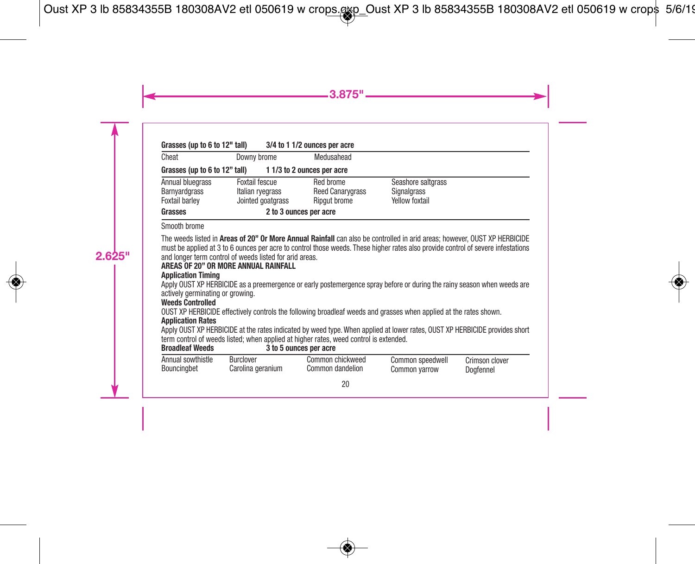| Grasses (up to 6 to 12" tall)                       |                                                         | 3/4 to 1 1/2 ounces per acre                         |                                                            |
|-----------------------------------------------------|---------------------------------------------------------|------------------------------------------------------|------------------------------------------------------------|
| Cheat                                               | Downy brome                                             | Medusahead                                           |                                                            |
| Grasses (up to 6 to 12" tall)                       | 11/3 to 2 ounces per acre                               |                                                      |                                                            |
| Annual bluegrass<br>Barnyardgrass<br>Foxtail barley | Foxtail fescue<br>Italian ryegrass<br>Jointed goatgrass | Red brome<br><b>Reed Canarygrass</b><br>Ripgut brome | Seashore saltorass<br>Signalgrass<br><b>Yellow foxtail</b> |
| Grasses                                             | 2 to 3 ounces per acre                                  |                                                      |                                                            |

#### Smooth brome

The weeds listed in **Areas of 20" Or More Annual Rainfall** can also be controlled in arid areas; however, OUST XP HERBICIDE must be applied at 3 to 6 ounces per acre to control those weeds. These higher rates also provide control of severe infestations and longer term control of weeds listed for arid areas.

# **AREAS OF 20" OR MORE ANNUAL RAINFALL**

#### **Application Timing**

Apply OUST XP HERBICIDE as a preemergence or early postemergence spray before or during the rainy season when weeds are actively germinating or growing.

#### **Weeds Controlled**

OUST XP HERBICIDE effectively controls the following broadleaf weeds and grasses when applied at the rates shown.

#### **Application Rates**

Apply OUST XP HERBICIDE at the rates indicated by weed type. When applied at lower rates, OUST XP HERBICIDE provides short term control of weeds listed; when applied at higher rates, weed control is extended.<br> **Broadleaf Weeds**<br> **Broadleaf Weeds**<br> **Broadleaf Weeds** 

**Broadleaf Weeds 3 to 5 ounces per acre**

| Annual sowthistle | Burclover         | Common chickweed | Common speedwell | Crimson clover |
|-------------------|-------------------|------------------|------------------|----------------|
| Bouncingbet       | Carolina geranium | Common dandelion | Common yarrow    | Dogfennel      |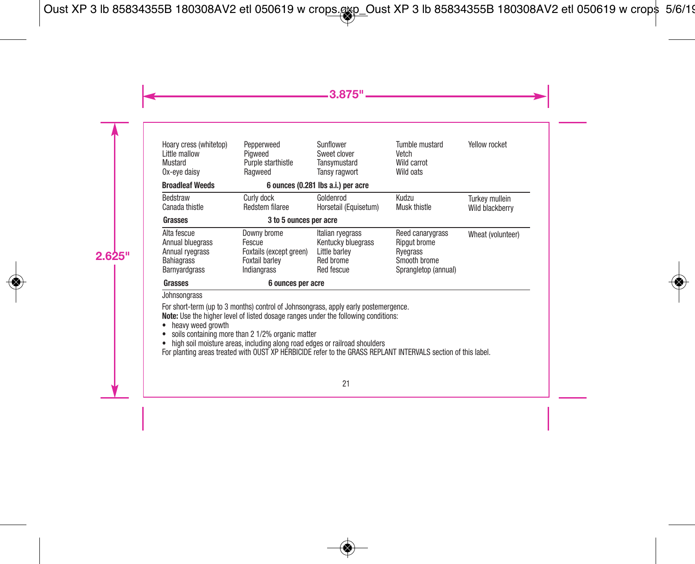| Hoary cress (whitetop) | Pepperweed              | Sunflower                          | Tumble mustard       | Yellow rocket     |
|------------------------|-------------------------|------------------------------------|----------------------|-------------------|
| Little mallow          | Piaweed                 | Sweet clover                       | Vetch                |                   |
| Mustard                | Purple starthistle      | Tansvmustard                       | Wild carrot          |                   |
| Ox-eve daisy           | Ragweed                 | Tansy ragwort                      | Wild oats            |                   |
| <b>Broadleaf Weeds</b> |                         | 6 ounces (0.281 lbs a.i.) per acre |                      |                   |
| Bedstraw               | Curly dock              | Goldenrod                          | Kudzu                | Turkey mullein    |
| Canada thistle         | Redstem filaree         | Horsetail (Equisetum)              | Musk thistle         | Wild blackberry   |
| Grasses                | 3 to 5 ounces per acre  |                                    |                      |                   |
| Alta fescue            | Downy brome             | Italian ryegrass                   | Reed canarygrass     | Wheat (volunteer) |
| Annual bluegrass       | Fescue                  | Kentucky bluegrass                 | <b>Ripaut brome</b>  |                   |
| Annual rvegrass        | Foxtails (except green) | Little barley                      | Rvegrass             |                   |
| <b>Bahiagrass</b>      | <b>Foxtail barlev</b>   | Red brome                          | Smooth brome         |                   |
| <b>Barnvardgrass</b>   | Indiangrass             | Red fescue                         | Sprangletop (annual) |                   |
| Grasses                | 6 ounces per acre       |                                    |                      |                   |

Johnsongrass

For short-term (up to 3 months) control of Johnsongrass, apply early postemergence. **Note:** Use the higher level of listed dosage ranges under the following conditions:

- heavy weed growth
- soils containing more than 2 1/2% organic matter
- 

• high soil moisture areas, including along road edges or railroad shoulders For planting areas treated with OUST XP HERBICIDE refer to the GRASS REPLANT INTERVALS section of this label.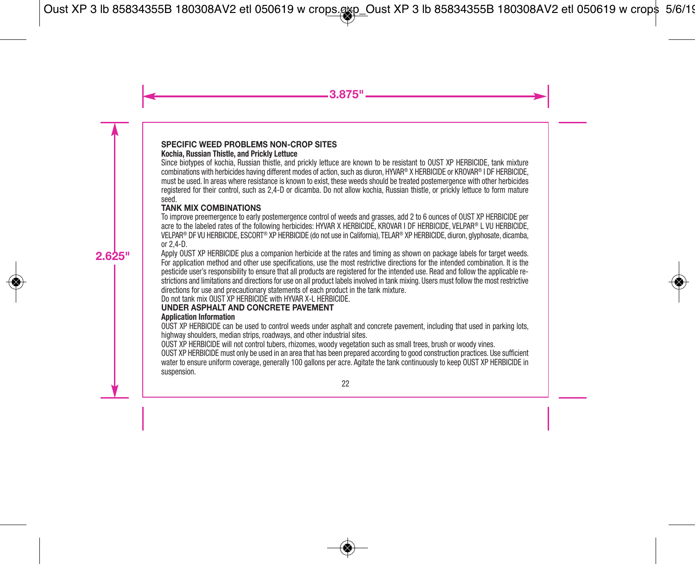# **SPECIFIC WEED PROBLEMS NON-CROP SITES**

#### **Kochia, Russian Thistle, and Prickly Lettuce**

Since biotypes of kochia, Russian thistle, and prickly lettuce are known to be resistant to OUST XP HERBICIDE, tank mixture combinations with herbicides having different modes of action, such as diuron, HYVAR® X HERBICIDE or KROVAR® I DF HERBICIDE, must be used. In areas where resistance is known to exist, these weeds should be treated postemergence with other herbicides registered for their control, such as 2,4-D or dicamba. Do not allow kochia, Russian thistle, or prickly lettuce to form mature seed.

#### **TANK MIX COMBINATIONS**

To improve preemergence to early postemergence control of weeds and grasses, add 2 to 6 ounces of OUST XP HERBICIDE per acre to the labeled rates of the following herbicides: HYVAR X HERBICIDE, KROVAR I DF HERBICIDE, VELPAR® L VU HERBICIDE, VELPAR® DF VU HERBICIDE, ESCORT® XP HERBICIDE (do not use in California), TELAR® XP HERBICIDE, diuron, glyphosate, dicamba, or  $2,4$ -D.

Apply OUST XP HERBICIDE plus a companion herbicide at the rates and timing as shown on package labels for target weeds. For application method and other use specifications, use the most restrictive directions for the intended combination. It is the pesticide user's responsibility to ensure that all products are registered for the intended use. Read and follow the applicable restrictions and limitations and directions for use on all product labels involved in tank mixing. Users must follow the most restrictive directions for use and precautionary statements of each product in the tank mixture.

Do not tank mix OUST XP HERBICIDE with HYVAR X-L HERBICIDE.

#### **UNDER ASPHALT AND CONCRETE PAVEMENT**

#### **Application Information**

OUST XP HERBICIDE can be used to control weeds under asphalt and concrete pavement, including that used in parking lots, highway shoulders, median strips, roadways, and other industrial sites.

OUST XP HERBICIDE will not control tubers, rhizomes, woody vegetation such as small trees, brush or woody vines.

OUST XP HERBICIDE must only be used in an area that has been prepared according to good construction practices. Use sufficient water to ensure uniform coverage, generally 100 gallons per acre. Agitate the tank continuously to keep OUST XP HERBICIDE in suspension.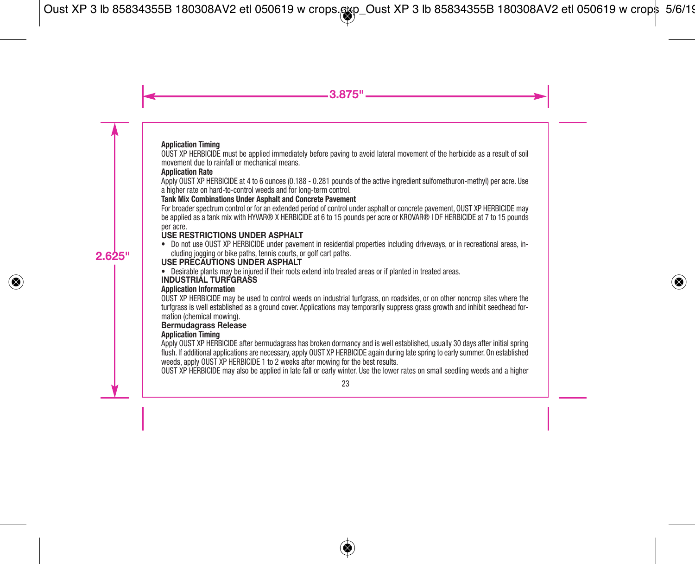#### **Application Timing**

OUST XP HERBICIDE must be applied immediately before paving to avoid lateral movement of the herbicide as a result of soil movement due to rainfall or mechanical means.

### **Application Rate**

Apply OUST XP HERBICIDE at 4 to 6 ounces (0.188 - 0.281 pounds of the active ingredient sulfomethuron-methyl) per acre. Use a higher rate on hard-to-control weeds and for long-term control.

#### **Tank Mix Combinations Under Asphalt and Concrete Pavement**

For broader spectrum control or for an extended period of control under asphalt or concrete pavement, OUST XP HERBICIDE may be applied as a tank mix with HYVAR® X HERBICIDE at 6 to 15 pounds per acre or KROVAR® I DF HERBICIDE at 7 to 15 pounds per acre.

# **USE RESTRICTIONS UNDER ASPHALT**

• Do not use OUST XP HERBICIDE under pavement in residential properties including driveways, or in recreational areas, including jogging or bike paths, tennis courts, or golf cart paths.

# **USE PRECAUTIONS UNDER ASPHALT**

• Desirable plants may be injured if their roots extend into treated areas or if planted in treated areas.

# **INDUSTRIAL TURFGRASS**

# **Application Information**

OUST XP HERBICIDE may be used to control weeds on industrial turfgrass, on roadsides, or on other noncrop sites where the turfgrass is well established as a ground cover. Applications may temporarily suppress grass growth and inhibit seedhead formation (chemical mowing).

# **Bermudagrass Release**

#### **Application Timing**

Apply OUST XP HERBICIDE after bermudagrass has broken dormancy and is well established, usually 30 days after initial spring flush. If additional applications are necessary, apply OUST XP HERBICIDE again during late spring to early summer. On established weeds, apply OUST XP HERBICIDE 1 to 2 weeks after mowing for the best results.

OUST XP HERBICIDE may also be applied in late fall or early winter. Use the lower rates on small seedling weeds and a higher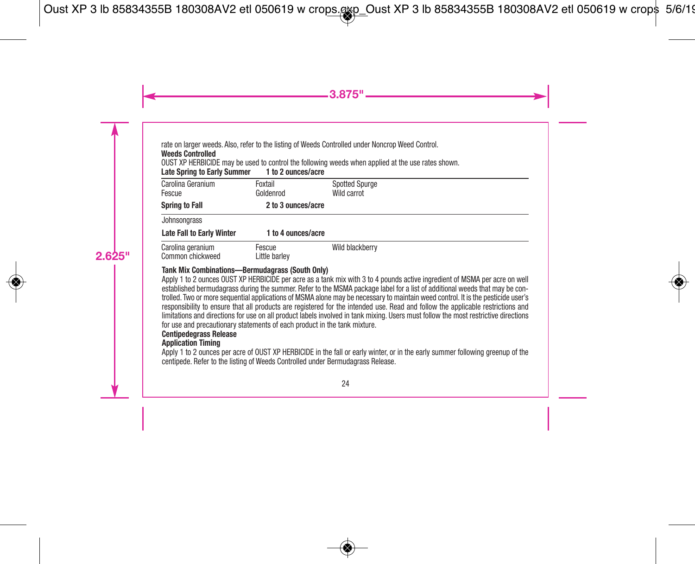rate on larger weeds. Also, refer to the listing of Weeds Controlled under Noncrop Weed Control.

#### **Weeds Controlled**

OUST XP HERBICIDE may be used to control the following weeds when applied at the use rates shown.

**Late Spring to Early Summer 1 to 2 ounces/acre**

| Carolina Geranium<br>Fescue           | Foxtail<br>Goldenrod    | <b>Spotted Spurge</b><br>Wild carrot |
|---------------------------------------|-------------------------|--------------------------------------|
| <b>Spring to Fall</b>                 | 2 to 3 ounces/acre      |                                      |
| Johnsongrass                          |                         |                                      |
| <b>Late Fall to Early Winter</b>      | 1 to 4 ounces/acre      |                                      |
| Carolina geranium<br>Common chickweed | Fescue<br>Little barlev | Wild blackberry                      |

#### **Tank Mix Combinations—Bermudagrass (South Only)**

Apply 1 to 2 ounces OUST XP HERBICIDE per acre as a tank mix with 3 to 4 pounds active ingredient of MSMA per acre on well established bermudagrass during the summer. Refer to the MSMA package label for a list of additional weeds that may be controlled. Two or more sequential applications of MSMA alone may be necessary to maintain weed control. It is the pesticide user's responsibility to ensure that all products are registered for the intended use. Read and follow the applicable restrictions and limitations and directions for use on all product labels involved in tank mixing. Users must follow the most restrictive directions for use and precautionary statements of each product in the tank mixture.

# **Centipedegrass Release**

# **Application Timing**

Apply 1 to 2 ounces per acre of OUST XP HERBICIDE in the fall or early winter, or in the early summer following greenup of the centipede. Refer to the listing of Weeds Controlled under Bermudagrass Release.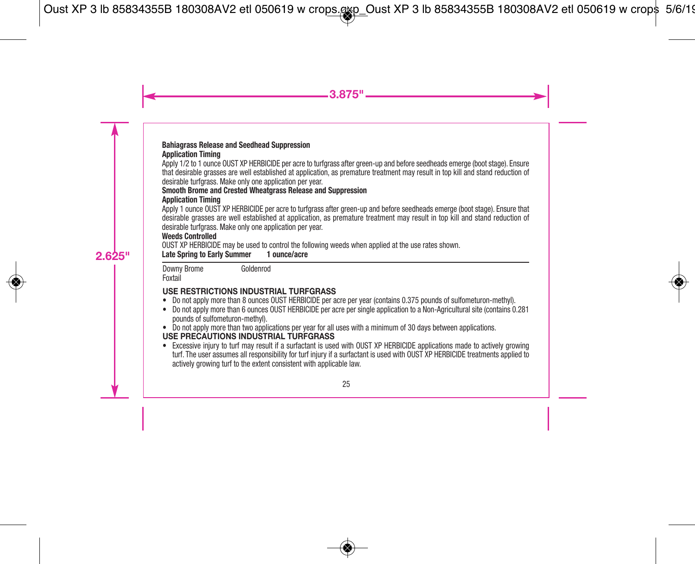#### **Bahiagrass Release and Seedhead Suppression Application Timing**

Apply 1/2 to 1 ounce OUST XP HERBICIDE per acre to turfgrass after green-up and before seedheads emerge (boot stage). Ensure that desirable grasses are well established at application, as premature treatment may result in top kill and stand reduction of desirable turfgrass. Make only one application per year.

#### **Smooth Brome and Crested Wheatgrass Release and Suppression Application Timing**

Apply 1 ounce OUST XP HERBICIDE per acre to turfgrass after green-up and before seedheads emerge (boot stage). Ensure that desirable grasses are well established at application, as premature treatment may result in top kill and stand reduction of desirable turfgrass. Make only one application per year.

#### **Weeds Controlled**

OUST XP HERBICIDE may be used to control the following weeds when applied at the use rates shown.

**Late Spring to Early Summer 1 ounce/acre**

Downy Brome Foxtail Goldenrod

# **USE RESTRICTIONS INDUSTRIAL TURFGRASS**

- Do not apply more than 8 ounces OUST HERBICIDE per acre per year (contains 0.375 pounds of sulfometuron-methyl).
- Do not apply more than 6 ounces OUST HERBICIDE per acre per single application to a Non-Agricultural site (contains 0.281 pounds of sulfometuron-methyl).
- Do not apply more than two applications per year for all uses with a minimum of 30 days between applications. **USE PRECAUTIONS INDUSTRIAL TURFGRASS**
- Excessive injury to turf may result if a surfactant is used with OUST XP HERBICIDE applications made to actively growing turf. The user assumes all responsibility for turf injury if a surfactant is used with OUST XP HERBICIDE treatments applied to actively growing turf to the extent consistent with applicable law.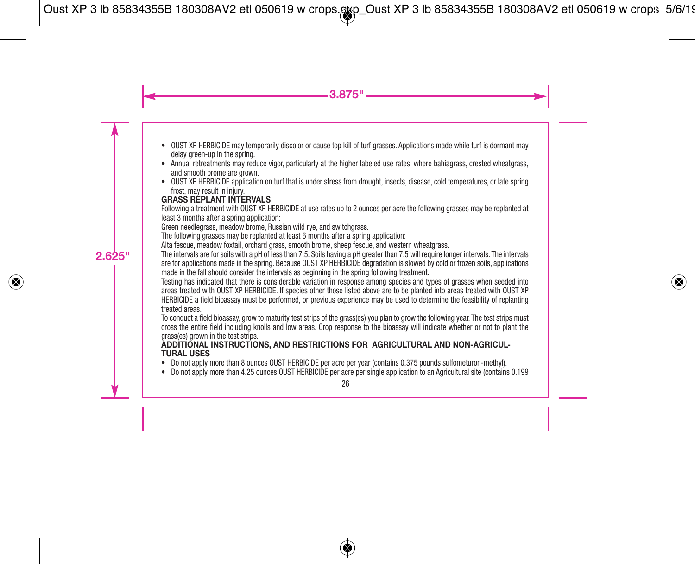- OUST XP HERBICIDE may temporarily discolor or cause top kill of turf grasses. Applications made while turf is dormant may delay green-up in the spring.
- Annual retreatments may reduce vigor, particularly at the higher labeled use rates, where bahiagrass, crested wheatgrass, and smooth brome are grown.
- OUST XP HERBICIDE application on turf that is under stress from drought, insects, disease, cold temperatures, or late spring frost, may result in injury.

#### **GRASS REPLANT INTERVALS**

Following a treatment with OUST XP HERBICIDE at use rates up to 2 ounces per acre the following grasses may be replanted at least 3 months after a spring application:

Green needlegrass, meadow brome, Russian wild rye, and switchgrass.

The following grasses may be replanted at least 6 months after a spring application:

Alta fescue, meadow foxtail, orchard grass, smooth brome, sheep fescue, and western wheatgrass.

The intervals are for soils with a pH of less than 7.5. Soils having a pH greater than 7.5 will require longer intervals. The intervals are for applications made in the spring. Because OUST XP HERBICIDE degradation is slowed by cold or frozen soils, applications made in the fall should consider the intervals as beginning in the spring following treatment.

Testing has indicated that there is considerable variation in response among species and types of grasses when seeded into areas treated with OUST XP HERBICIDE. If species other those listed above are to be planted into areas treated with OUST XP HERBICIDE a field bioassay must be performed, or previous experience may be used to determine the feasibility of replanting treated areas.

To conduct a field bioassay, grow to maturity test strips of the grass(es) you plan to grow the following year. The test strips must cross the entire field including knolls and low areas. Crop response to the bioassay will indicate whether or not to plant the grass(es) grown in the test strips.

#### **ADDITIONAL INSTRUCTIONS, AND RESTRICTIONS FOR AGRICULTURAL AND NON-AGRICUL- TURAL USES**

- Do not apply more than 8 ounces OUST HERBICIDE per acre per year (contains 0.375 pounds sulfometuron-methyl).
- Do not apply more than 4.25 ounces OUST HERBICIDE per acre per single application to an Agricultural site (contains 0.199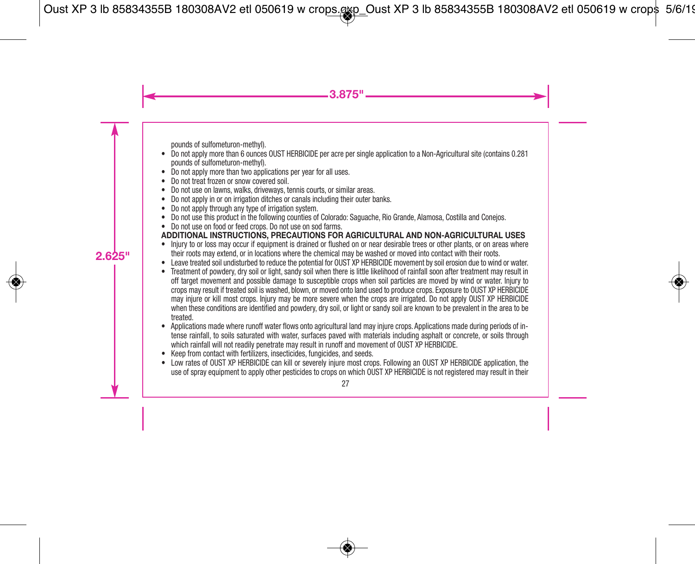pounds of sulfometuron-methyl).

- Do not apply more than 6 ounces OUST HERBICIDE per acre per single application to a Non-Agricultural site (contains 0.281 pounds of sulfometuron-methyl).
- Do not apply more than two applications per year for all uses.
- Do not treat frozen or snow covered soil.
- Do not use on lawns, walks, driveways, tennis courts, or similar areas.
- Do not apply in or on irrigation ditches or canals including their outer banks.
- Do not apply through any type of irrigation system.
- Do not use this product in the following counties of Colorado: Saguache, Rio Grande, Alamosa, Costilla and Conejos.
- Do not use on food or feed crops. Do not use on sod farms.

# **ADDITIONAL INSTRUCTIONS, PRECAUTIONS FOR AGRICULTURAL AND NON-AGRICULTURAL USES**

- Injury to or loss may occur if equipment is drained or flushed on or near desirable trees or other plants, or on areas where their roots may extend, or in locations where the chemical may be washed or moved into contact with their roots.
- Leave treated soil undisturbed to reduce the potential for OUST XP HERBICIDE movement by soil erosion due to wind or water.
- Treatment of powdery, dry soil or light, sandy soil when there is little likelihood of rainfall soon after treatment may result in off target movement and possible damage to susceptible crops when soil particles are moved by wind or water. Injury to crops may result if treated soil is washed, blown, or moved onto land used to produce crops. Exposure to OUST XP HERBICIDE may injure or kill most crops. Injury may be more severe when the crops are irrigated. Do not apply OUST XP HERBICIDE when these conditions are identified and powdery, dry soil, or light or sandy soil are known to be prevalent in the area to be treated.
- Applications made where runoff water flows onto agricultural land may injure crops. Applications made during periods of intense rainfall, to soils saturated with water, surfaces paved with materials including asphalt or concrete, or soils through which rainfall will not readily penetrate may result in runoff and movement of OUST XP HERBICIDE.
- Keep from contact with fertilizers, insecticides, fungicides, and seeds.
- Low rates of OUST XP HERBICIDE can kill or severely injure most crops. Following an OUST XP HERBICIDE application, the use of spray equipment to apply other pesticides to crops on which OUST XP HERBICIDE is not registered may result in their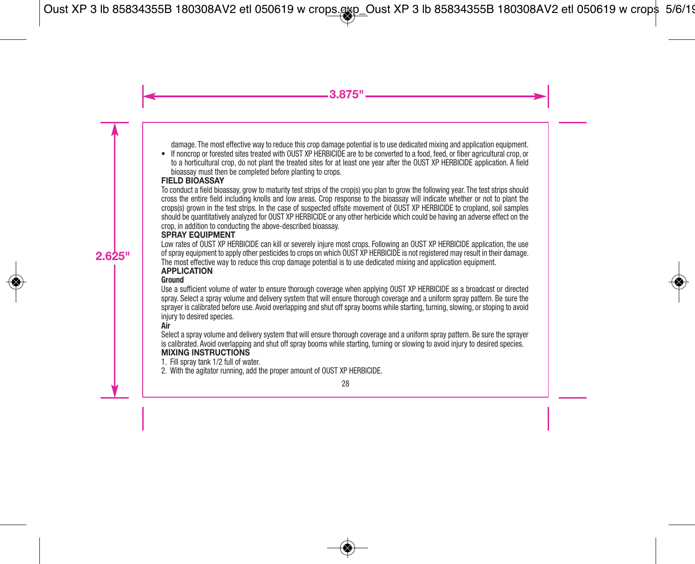damage. The most effective way to reduce this crop damage potential is to use dedicated mixing and application equipment.

• If noncrop or forested sites treated with OUST XP HERBICIDE are to be converted to a food, feed, or fiber agricultural crop, or to a horticultural crop, do not plant the treated sites for at least one year after the OUST XP HERBICIDE application. A field bioassay must then be completed before planting to crops.

#### **FIELD BIOASSAY**

To conduct a field bioassay, grow to maturity test strips of the crop(s) you plan to grow the following year. The test strips should cross the entire field including knolls and low areas. Crop response to the bioassay will indicate whether or not to plant the crops(s) grown in the test strips. In the case of suspected offsite movement of OUST XP HERBICIDE to cropland, soil samples should be quantitatively analyzed for OUST XP HERBICIDE or any other herbicide which could be having an adverse effect on the crop, in addition to conducting the above-described bioassay.

# **SPRAY EQUIPMENT**

Low rates of OUST XP HERBICIDE can kill or severely injure most crops. Following an OUST XP HERBICIDE application, the use of spray equipment to apply other pesticides to crops on which OUST XP HERBICIDE is not registered may result in their damage. The most effective way to reduce this crop damage potential is to use dedicated mixing and application equipment.

#### **APPLICATION**

#### **Ground**

Use a sufficient volume of water to ensure thorough coverage when applying OUST XP HERBICIDE as a broadcast or directed spray. Select a spray volume and delivery system that will ensure thorough coverage and a uniform spray pattern. Be sure the sprayer is calibrated before use. Avoid overlapping and shut off spray booms while starting, turning, slowing, or stoping to avoid injury to desired species.

#### **Air**

Select a spray volume and delivery system that will ensure thorough coverage and a uniform spray pattern. Be sure the sprayer is calibrated. Avoid overlapping and shut off spray booms while starting, turning or slowing to avoid injury to desired species. **MIXING INSTRUCTIONS**

1. Fill spray tank 1/2 full of water.

2. With the agitator running, add the proper amount of OUST XP HERBICIDE.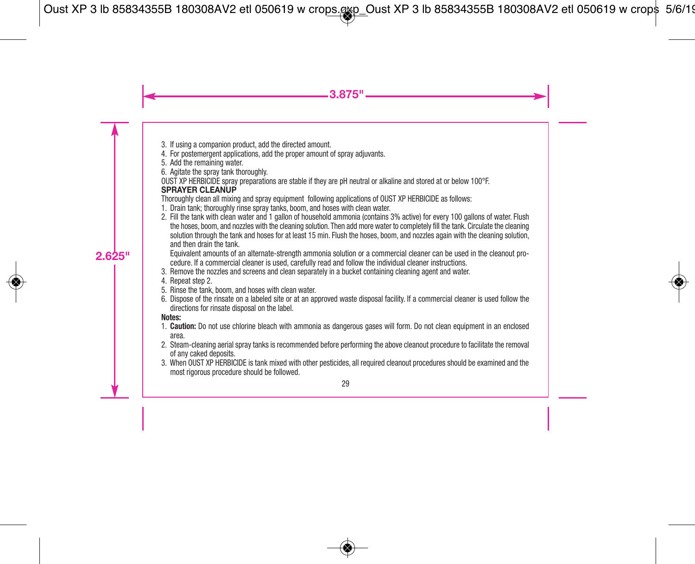- 3. If using a companion product, add the directed amount.
- 4. For postemergent applications, add the proper amount of spray adjuvants.
- 5. Add the remaining water.
- 6. Agitate the spray tank thoroughly.

OUST XP HERBICIDE spray preparations are stable if they are pH neutral or alkaline and stored at or below 100°F. **SPRAYER CLEANUP**

Thoroughly clean all mixing and spray equipment following applications of OUST XP HERBICIDE as follows:

- 1. Drain tank; thoroughly rinse spray tanks, boom, and hoses with clean water.
- 2. Fill the tank with clean water and 1 gallon of household ammonia (contains 3% active) for every 100 gallons of water. Flush the hoses, boom, and nozzles with the cleaning solution. Then add more water to completely fill the tank. Circulate the cleaning solution through the tank and hoses for at least 15 min. Flush the hoses, boom, and nozzles again with the cleaning solution, and then drain the tank.

 Equivalent amounts of an alternate-strength ammonia solution or a commercial cleaner can be used in the cleanout procedure. If a commercial cleaner is used, carefully read and follow the individual cleaner instructions.

- 3. Remove the nozzles and screens and clean separately in a bucket containing cleaning agent and water.
- 4. Repeat step 2.
- 5. Rinse the tank, boom, and hoses with clean water.
- 6. Dispose of the rinsate on a labeled site or at an approved waste disposal facility. If a commercial cleaner is used follow the directions for rinsate disposal on the label.

#### **Notes:**

- 1. **Caution:** Do not use chlorine bleach with ammonia as dangerous gases will form. Do not clean equipment in an enclosed area.
- 2. Steam-cleaning aerial spray tanks is recommended before performing the above cleanout procedure to facilitate the removal of any caked deposits.
- 3. When OUST XP HERBICIDE is tank mixed with other pesticides, all required cleanout procedures should be examined and the most rigorous procedure should be followed.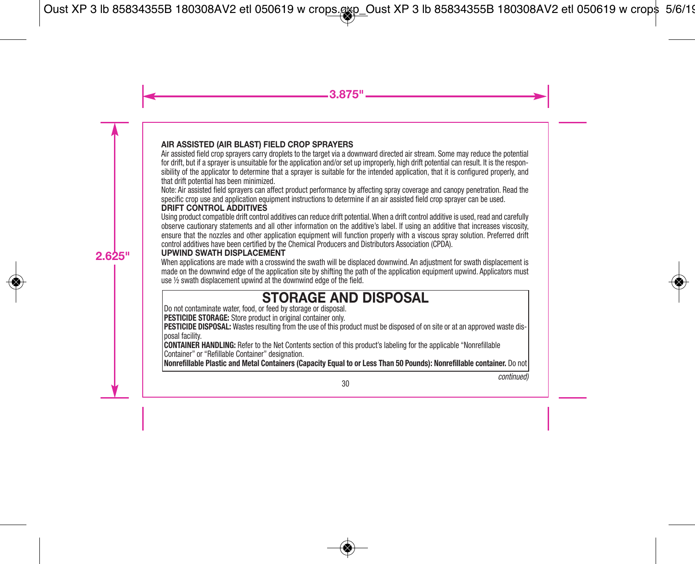# **AIR ASSISTED (AIR BLAST) FIELD CROP SPRAYERS**

Air assisted field crop sprayers carry droplets to the target via a downward directed air stream. Some may reduce the potential for drift, but if a sprayer is unsuitable for the application and/or set up improperly, high drift potential can result. It is the responsibility of the applicator to determine that a sprayer is suitable for the intended application, that it is configured properly, and that drift potential has been minimized.

Note: Air assisted field sprayers can affect product performance by affecting spray coverage and canopy penetration. Read the specific crop use and application equipment instructions to determine if an air assisted field crop sprayer can be used.

# **DRIFT CONTROL ADDITIVES**

Using product compatible drift control additives can reduce drift potential.When a drift control additive is used, read and carefully observe cautionary statements and all other information on the additive's label. If using an additive that increases viscosity, ensure that the nozzles and other application equipment will function properly with a viscous spray solution. Preferred drift control additives have been certified by the Chemical Producers and Distributors Association (CPDA).

# **UPWIND SWATH DISPLACEMENT**

When applications are made with a crosswind the swath will be displaced downwind. An adjustment for swath displacement is made on the downwind edge of the application site by shifting the path of the application equipment upwind. Applicators must use ½ swath displacement upwind at the downwind edge of the field.

# **STORAGE AND DISPOSAL**

Do not contaminate water, food, or feed by storage or disposal.

**PESTICIDE STORAGE:** Store product in original container only.

**PESTICIDE DISPOSAL:** Wastes resulting from the use of this product must be disposed of on site or at an approved waste disposal facility.

**CONTAINER HANDLING:** Refer to the Net Contents section of this product's labeling for the applicable "Nonrefillable Container" or "Refillable Container" designation.

**Nonrefillable Plastic and Metal Containers (Capacity Equal to or Less Than 50 Pounds): Nonrefillable container.** Do not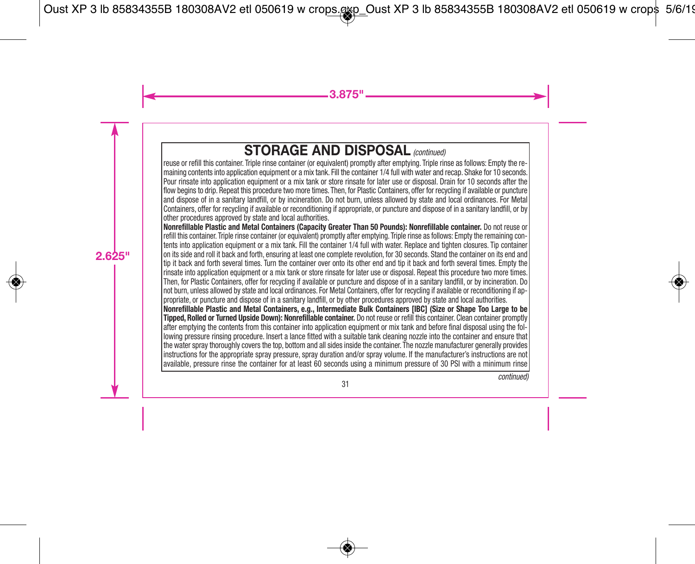# **STORAGE AND DISPOSAL** *(continued)*

reuse or refill this container. Triple rinse container (or equivalent) promptly after emptying. Triple rinse as follows: Empty the remaining contents into application equipment or a mix tank. Fill the container 1/4 full with water and recap. Shake for 10 seconds. Pour rinsate into application equipment or a mix tank or store rinsate for later use or disposal. Drain for 10 seconds after the flow begins to drip. Repeat this procedure two more times. Then, for Plastic Containers, offer for recycling if available or puncture and dispose of in a sanitary landfill, or by incineration. Do not burn, unless allowed by state and local ordinances. For Metal Containers, offer for recycling if available or reconditioning if appropriate, or puncture and dispose of in a sanitary landfill, or by other procedures approved by state and local authorities.

**Nonrefillable Plastic and Metal Containers (Capacity Greater Than 50 Pounds): Nonrefillable container.** Do not reuse or refill this container. Triple rinse container (or equivalent) promptly after emptying. Triple rinse as follows: Empty the remaining contents into application equipment or a mix tank. Fill the container 1/4 full with water. Replace and tighten closures. Tip container on its side and roll it back and forth, ensuring at least one complete revolution, for 30 seconds. Stand the container on its end and tip it back and forth several times. Turn the container over onto its other end and tip it back and forth several times. Empty the rinsate into application equipment or a mix tank or store rinsate for later use or disposal. Repeat this procedure two more times. Then, for Plastic Containers, offer for recycling if available or puncture and dispose of in a sanitary landfill, or by incineration. Do not burn, unless allowed by state and local ordinances. For Metal Containers, offer for recycling if available or reconditioning if appropriate, or puncture and dispose of in a sanitary landfill, or by other procedures approved by state and local authorities. Nonrefillable Plastic and Metal Containers, e.g., Intermediate Bulk Containers [IBC] (Size or Shape Too Large to be **Tipped, Rolled or Turned Upside Down): Nonrefillable container.** Do not reuse or refill this container. Clean container promptly after emptying the contents from this container into application equipment or mix tank and before final disposal using the following pressure rinsing procedure. Insert a lance fitted with a suitable tank cleaning nozzle into the container and ensure that the water spray thoroughly covers the top, bottom and all sides inside the container. The nozzle manufacturer generally provides instructions for the appropriate spray pressure, spray duration and/or spray volume. If the manufacturer's instructions are not available, pressure rinse the container for at least 60 seconds using a minimum pressure of 30 PSI with a minimum rinse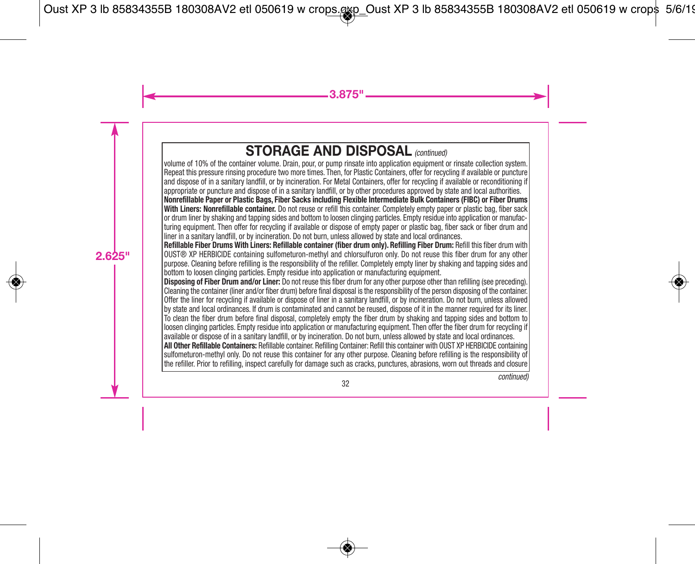# **STORAGE AND DISPOSAL** *(continued)*

volume of 10% of the container volume. Drain, pour, or pump rinsate into application equipment or rinsate collection system. Repeat this pressure rinsing procedure two more times. Then, for Plastic Containers, offer for recycling if available or puncture and dispose of in a sanitary landfill, or by incineration. For Metal Containers, offer for recycling if available or reconditioning if appropriate or puncture and dispose of in a sanitary landfill, or by other procedures approved by state and local authorities. Nonrefillable Paper or Plastic Bags. Fiber Sacks including Flexible Intermediate Bulk Containers (FIBC) or Fiber Drums **With Liners: Nonrefillable container.** Do not reuse or refill this container. Completely empty paper or plastic bag, fiber sack or drum liner by shaking and tapping sides and bottom to loosen clinging particles. Empty residue into application or manufacturing equipment. Then offer for recycling if available or dispose of empty paper or plastic bag, fiber sack or fiber drum and liner in a sanitary landfill, or by incineration. Do not burn, unless allowed by state and local ordinances. **Refillable Fiber Drums With Liners: Refillable container (fiber drum only). Refilling Fiber Drum:** Refill this fiber drum with OUST® XP HERBICIDE containing sulfometuron-methyl and chlorsulfuron only. Do not reuse this fiber drum for any other purpose. Cleaning before refilling is the responsibility of the refiller. Completely empty liner by shaking and tapping sides and bottom to loosen clinging particles. Empty residue into application or manufacturing equipment. **Disposing of Fiber Drum and/or Liner:** Do not reuse this fiber drum for any other purpose other than refilling (see preceding). Cleaning the container (liner and/or fiber drum) before final disposal is the responsibility of the person disposing of the container. Offer the liner for recycling if available or dispose of liner in a sanitary landfill, or by incineration. Do not burn, unless allowed by state and local ordinances. If drum is contaminated and cannot be reused, dispose of it in the manner required for its liner. To clean the fiber drum before final disposal, completely empty the fiber drum by shaking and tapping sides and bottom to loosen clinging particles. Empty residue into application or manufacturing equipment. Then offer the fiber drum for recycling if available or dispose of in a sanitary landfill, or by incineration. Do not burn, unless allowed by state and local ordinances. **All Other Refillable Containers:** Refillable container. Refilling Container: Refill this container with OUST XP HERBICIDE containing sulfometuron-methyl only. Do not reuse this container for any other purpose. Cleaning before refilling is the responsibility of the refiller. Prior to refilling, inspect carefully for damage such as cracks, punctures, abrasions, worn out threads and closure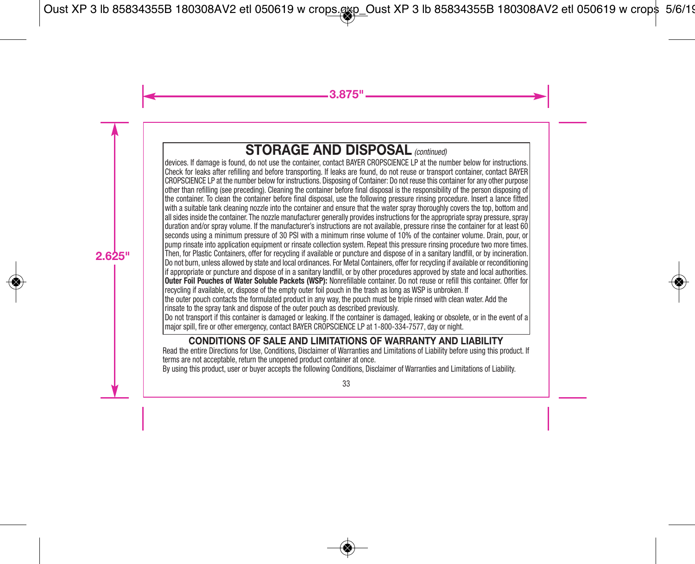# **STORAGE AND DISPOSAL** *(continued)*

devices. If damage is found, do not use the container, contact BAYER CROPSCIENCE LP at the number below for instructions. Check for leaks after refilling and before transporting. If leaks are found, do not reuse or transport container, contact BAYER CROPSCIENCE LP at the number below for instructions. Disposing of Container: Do not reuse this container for any other purpose other than refilling (see preceding). Cleaning the container before final disposal is the responsibility of the person disposing of the container. To clean the container before final disposal, use the following pressure rinsing procedure. Insert a lance fitted with a suitable tank cleaning nozzle into the container and ensure that the water spray thoroughly covers the top, bottom and all sides inside the container. The nozzle manufacturer generally provides instructions for the appropriate spray pressure, spray duration and/or spray volume. If the manufacturer's instructions are not available, pressure rinse the container for at least 60 seconds using a minimum pressure of 30 PSI with a minimum rinse volume of 10% of the container volume. Drain, pour, or pump rinsate into application equipment or rinsate collection system. Repeat this pressure rinsing procedure two more times. Then, for Plastic Containers, offer for recycling if available or puncture and dispose of in a sanitary landfill, or by incineration. Do not burn, unless allowed by state and local ordinances. For Metal Containers, offer for recycling if available or reconditioning if appropriate or puncture and dispose of in a sanitary landfill, or by other procedures approved by state and local authorities. **Outer Foil Pouches of Water Soluble Packets (WSP):** Nonrefillable container. Do not reuse or refill this container. Offer for recycling if available, or, dispose of the empty outer foil pouch in the trash as long as WSP is unbroken. If the outer pouch contacts the formulated product in any way, the pouch must be triple rinsed with clean water. Add the rinsate to the spray tank and dispose of the outer pouch as described previously. Do not transport if this container is damaged or leaking. If the container is damaged, leaking or obsolete, or in the event of a major spill, fire or other emergency, contact BAYER CROPSCIENCE LP at 1-800-334-7577, day or night.

# **CONDITIONS OF SALE AND LIMITATIONS OF WARRANTY AND LIABILITY**

Read the entire Directions for Use, Conditions, Disclaimer of Warranties and Limitations of Liability before using this product. If terms are not acceptable, return the unopened product container at once.

By using this product, user or buyer accepts the following Conditions, Disclaimer of Warranties and Limitations of Liability.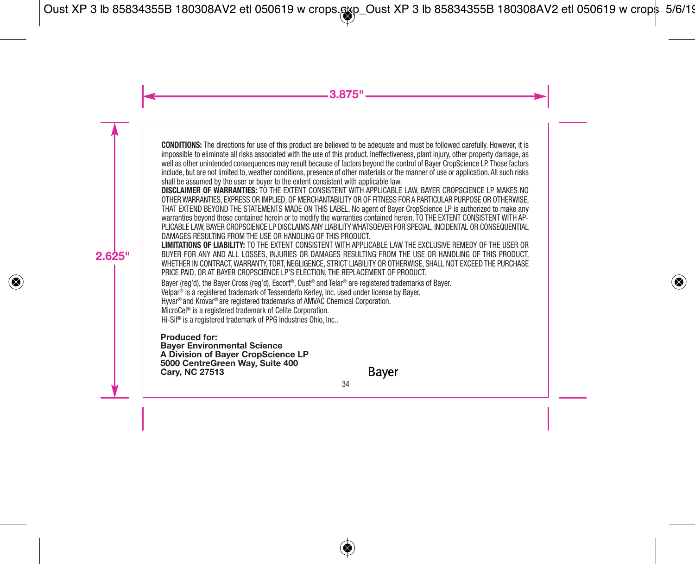**CONDITIONS:** The directions for use of this product are believed to be adequate and must be followed carefully. However, it is impossible to eliminate all risks associated with the use of this product. Ineffectiveness, plant injury, other property damage, as well as other unintended consequences may result because of factors beyond the control of Bayer CropScience LP. Those factors include, but are not limited to, weather conditions, presence of other materials or the manner of use or application. All such risks shall be assumed by the user or buyer to the extent consistent with applicable law.

**DISCLAIMER OF WARRANTIES:** TO THE EXTENT CONSISTENT WITH APPLICABLE LAW, BAYER CROPSCIENCE LP MAKES NO OTHER WARRANTIES, EXPRESS OR IMPLIED, OF MERCHANTABILITY OR OF FITNESS FOR A PARTICULAR PURPOSE OR OTHERWISE, THAT EXTEND BEYOND THE STATEMENTS MADE ON THIS LABEL. No agent of Bayer CropScience LP is authorized to make any warranties beyond those contained herein or to modify the warranties contained herein. TO THE EXTENT CONSISTENT WITH AP-PLICABLE LAW, BAYER CROPSCIENCE LP DISCLAIMS ANY LIABILITY WHATSOEVER FOR SPECIAL, INCIDENTAL OR CONSEQUENTIAL DAMAGES RESULTING FROM THE USE OR HANDLING OF THIS PRODUCT.

**LIMITATIONS OF LIABILITY:** TO THE EXTENT CONSISTENT WITH APPLICABLE LAW THE EXCLUSIVE REMEDY OF THE USER OR BUYER FOR ANY AND ALL LOSSES, INJURIES OR DAMAGES RESULTING FROM THE USE OR HANDLING OF THIS PRODUCT, WHETHER IN CONTRACT, WARRANTY, TORT, NEGLIGENCE, STRICT LIABILITY OR OTHERWISE, SHALL NOT EXCEED THE PURCHASE PRICE PAID, OR AT BAYER CROPSCIENCE LP'S ELECTION, THE REPLACEMENT OF PRODUCT.

Bayer (reg'd), the Bayer Cross (reg'd), Escort ®, Oust ® and Telar ® are registered trademarks of Bayer.

Velpar ® is a registered trademark of Tessenderlo Kerley, Inc. used under license by Bayer.

Hyvar® and Krovar® are registered trademarks of AMVAC Chemical Corporation.

MicroCel ® is a registered trademark of Celite Corporation.

Hi-Sil ® is a registered trademark of PPG Industries Ohio, Inc..

Produced for:<br>Bayer Environmental Science<br>A Division of Bayer CropScience LP<br>5000 CentreGreen Way, Suite 400<br>Carv. NC 27513

Bayer